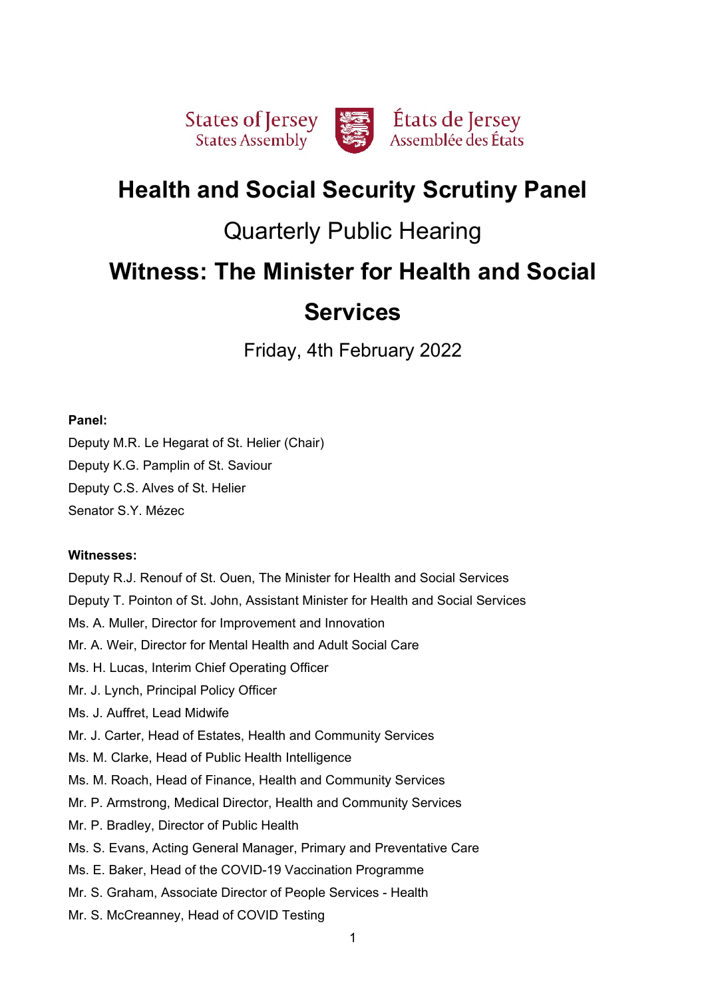

# **Health and Social Security Scrutiny Panel**

# Quarterly Public Hearing

# **Witness: The Minister for Health and Social**

# **Services**

Friday, 4th February 2022

# **Panel:**

Deputy M.R. Le Hegarat of St. Helier (Chair) Deputy K.G. Pamplin of St. Saviour Deputy C.S. Alves of St. Helier Senator S.Y. Mézec

# **Witnesses:**

Deputy R.J. Renouf of St. Ouen, The Minister for Health and Social Services Deputy T. Pointon of St. John, Assistant Minister for Health and Social Services Ms. A. Muller, Director for Improvement and Innovation Mr. A. Weir, Director for Mental Health and Adult Social Care Ms. H. Lucas, Interim Chief Operating Officer Mr. J. Lynch, Principal Policy Officer Ms. J. Auffret, Lead Midwife Mr. J. Carter, Head of Estates, Health and Community Services Ms. M. Clarke, Head of Public Health Intelligence Ms. M. Roach, Head of Finance, Health and Community Services Mr. P. Armstrong, Medical Director, Health and Community Services Mr. P. Bradley, Director of Public Health Ms. S. Evans, Acting General Manager, Primary and Preventative Care Ms. E. Baker, Head of the COVID-19 Vaccination Programme Mr. S. Graham, Associate Director of People Services - Health Mr. S. McCreanney, Head of COVID Testing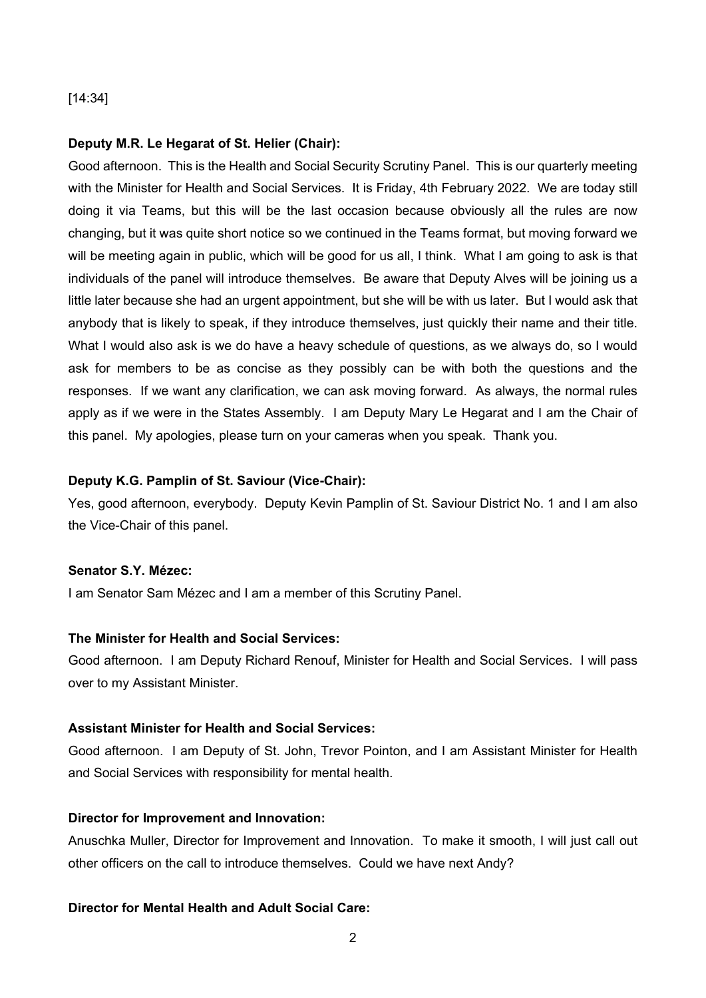## [14:34]

## **Deputy M.R. Le Hegarat of St. Helier (Chair):**

Good afternoon. This is the Health and Social Security Scrutiny Panel. This is our quarterly meeting with the Minister for Health and Social Services. It is Friday, 4th February 2022. We are today still doing it via Teams, but this will be the last occasion because obviously all the rules are now changing, but it was quite short notice so we continued in the Teams format, but moving forward we will be meeting again in public, which will be good for us all, I think. What I am going to ask is that individuals of the panel will introduce themselves. Be aware that Deputy Alves will be joining us a little later because she had an urgent appointment, but she will be with us later. But I would ask that anybody that is likely to speak, if they introduce themselves, just quickly their name and their title. What I would also ask is we do have a heavy schedule of questions, as we always do, so I would ask for members to be as concise as they possibly can be with both the questions and the responses. If we want any clarification, we can ask moving forward. As always, the normal rules apply as if we were in the States Assembly. I am Deputy Mary Le Hegarat and I am the Chair of this panel. My apologies, please turn on your cameras when you speak. Thank you.

## **Deputy K.G. Pamplin of St. Saviour (Vice-Chair):**

Yes, good afternoon, everybody. Deputy Kevin Pamplin of St. Saviour District No. 1 and I am also the Vice-Chair of this panel.

## **Senator S.Y. Mézec:**

I am Senator Sam Mézec and I am a member of this Scrutiny Panel.

## **The Minister for Health and Social Services:**

Good afternoon. I am Deputy Richard Renouf, Minister for Health and Social Services. I will pass over to my Assistant Minister.

# **Assistant Minister for Health and Social Services:**

Good afternoon. I am Deputy of St. John, Trevor Pointon, and I am Assistant Minister for Health and Social Services with responsibility for mental health.

## **Director for Improvement and Innovation:**

Anuschka Muller, Director for Improvement and Innovation. To make it smooth, I will just call out other officers on the call to introduce themselves. Could we have next Andy?

# **Director for Mental Health and Adult Social Care:**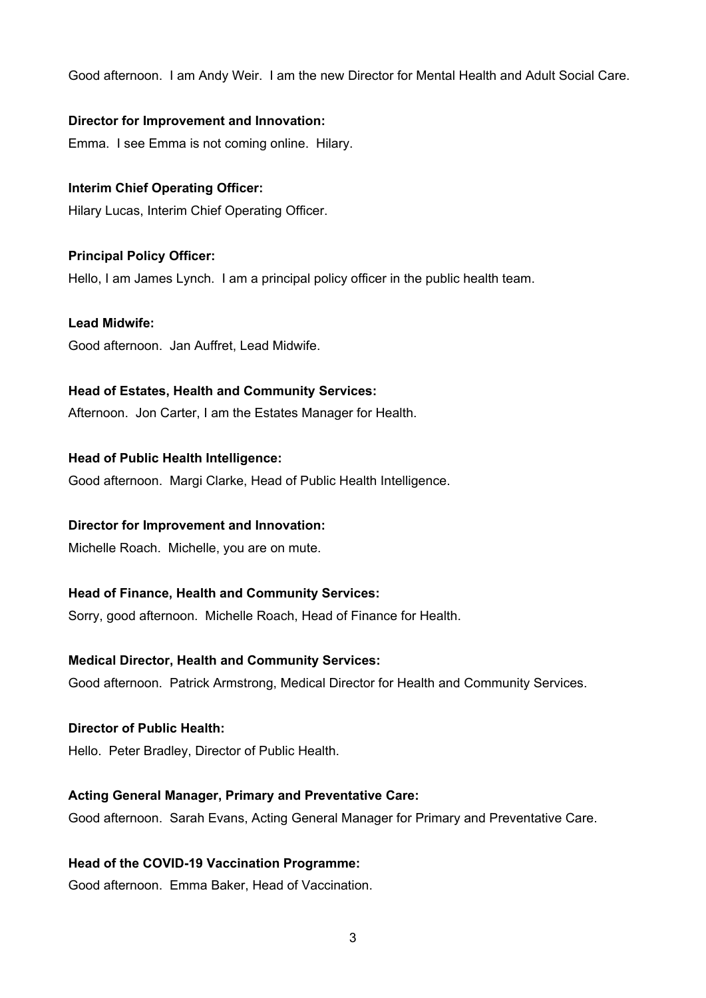Good afternoon. I am Andy Weir. I am the new Director for Mental Health and Adult Social Care.

## **Director for Improvement and Innovation:**

Emma. I see Emma is not coming online. Hilary.

# **Interim Chief Operating Officer:**

Hilary Lucas, Interim Chief Operating Officer.

## **Principal Policy Officer:**

Hello, I am James Lynch. I am a principal policy officer in the public health team.

## **Lead Midwife:**

Good afternoon. Jan Auffret, Lead Midwife.

## **Head of Estates, Health and Community Services:**

Afternoon. Jon Carter, I am the Estates Manager for Health.

#### **Head of Public Health Intelligence:**

Good afternoon. Margi Clarke, Head of Public Health Intelligence.

## **Director for Improvement and Innovation:**

Michelle Roach. Michelle, you are on mute.

## **Head of Finance, Health and Community Services:**

Sorry, good afternoon. Michelle Roach, Head of Finance for Health.

## **Medical Director, Health and Community Services:**

Good afternoon. Patrick Armstrong, Medical Director for Health and Community Services.

# **Director of Public Health:**

Hello. Peter Bradley, Director of Public Health.

## **Acting General Manager, Primary and Preventative Care:**

Good afternoon. Sarah Evans, Acting General Manager for Primary and Preventative Care.

## **Head of the COVID-19 Vaccination Programme:**

Good afternoon. Emma Baker, Head of Vaccination.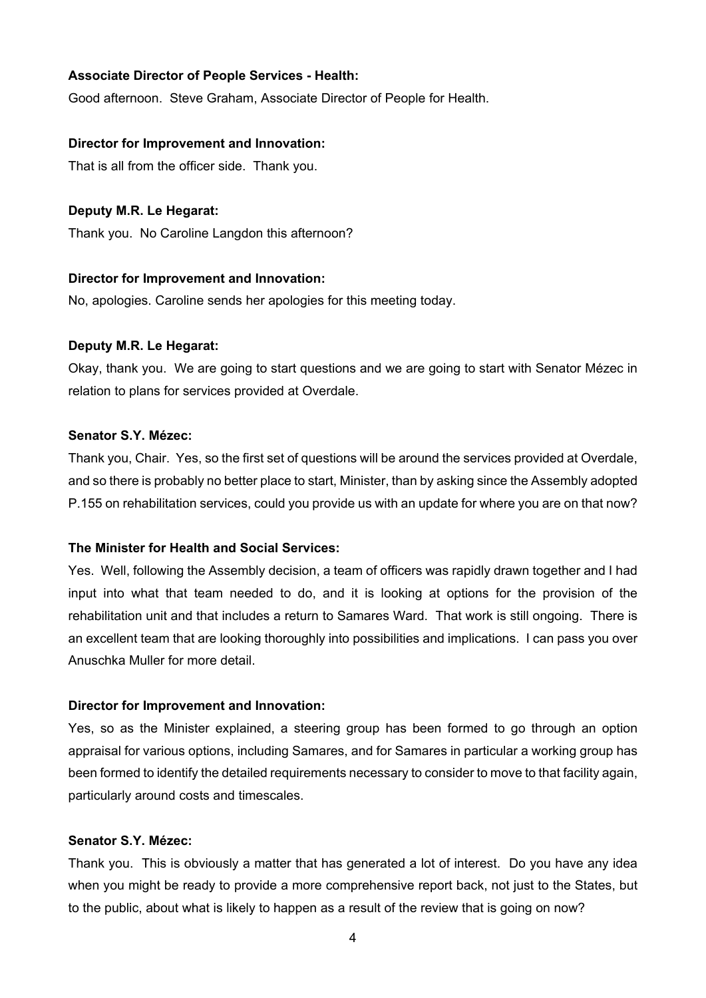## **Associate Director of People Services - Health:**

Good afternoon. Steve Graham, Associate Director of People for Health.

## **Director for Improvement and Innovation:**

That is all from the officer side. Thank you.

## **Deputy M.R. Le Hegarat:**

Thank you. No Caroline Langdon this afternoon?

## **Director for Improvement and Innovation:**

No, apologies. Caroline sends her apologies for this meeting today.

## **Deputy M.R. Le Hegarat:**

Okay, thank you. We are going to start questions and we are going to start with Senator Mézec in relation to plans for services provided at Overdale.

# **Senator S.Y. Mézec:**

Thank you, Chair. Yes, so the first set of questions will be around the services provided at Overdale, and so there is probably no better place to start, Minister, than by asking since the Assembly adopted P.155 on rehabilitation services, could you provide us with an update for where you are on that now?

# **The Minister for Health and Social Services:**

Yes. Well, following the Assembly decision, a team of officers was rapidly drawn together and I had input into what that team needed to do, and it is looking at options for the provision of the rehabilitation unit and that includes a return to Samares Ward. That work is still ongoing. There is an excellent team that are looking thoroughly into possibilities and implications. I can pass you over Anuschka Muller for more detail.

## **Director for Improvement and Innovation:**

Yes, so as the Minister explained, a steering group has been formed to go through an option appraisal for various options, including Samares, and for Samares in particular a working group has been formed to identify the detailed requirements necessary to consider to move to that facility again, particularly around costs and timescales.

# **Senator S.Y. Mézec:**

Thank you. This is obviously a matter that has generated a lot of interest. Do you have any idea when you might be ready to provide a more comprehensive report back, not just to the States, but to the public, about what is likely to happen as a result of the review that is going on now?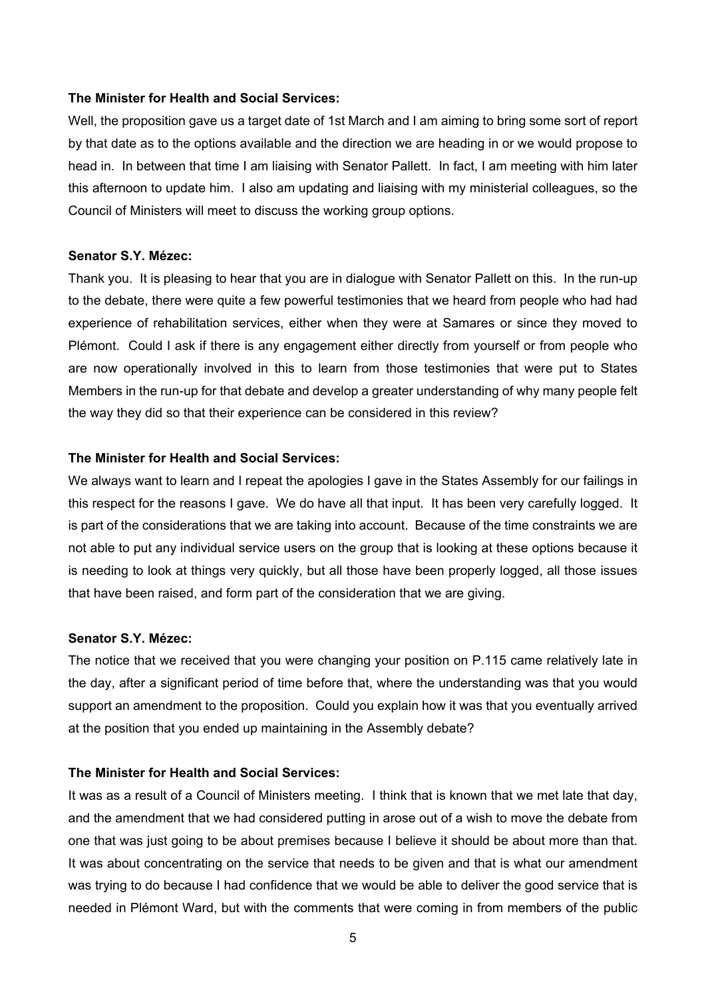#### **The Minister for Health and Social Services:**

Well, the proposition gave us a target date of 1st March and I am aiming to bring some sort of report by that date as to the options available and the direction we are heading in or we would propose to head in. In between that time I am liaising with Senator Pallett. In fact, I am meeting with him later this afternoon to update him. I also am updating and liaising with my ministerial colleagues, so the Council of Ministers will meet to discuss the working group options.

## **Senator S.Y. Mézec:**

Thank you. It is pleasing to hear that you are in dialogue with Senator Pallett on this. In the run-up to the debate, there were quite a few powerful testimonies that we heard from people who had had experience of rehabilitation services, either when they were at Samares or since they moved to Plémont. Could I ask if there is any engagement either directly from yourself or from people who are now operationally involved in this to learn from those testimonies that were put to States Members in the run-up for that debate and develop a greater understanding of why many people felt the way they did so that their experience can be considered in this review?

### **The Minister for Health and Social Services:**

We always want to learn and I repeat the apologies I gave in the States Assembly for our failings in this respect for the reasons I gave. We do have all that input. It has been very carefully logged. It is part of the considerations that we are taking into account. Because of the time constraints we are not able to put any individual service users on the group that is looking at these options because it is needing to look at things very quickly, but all those have been properly logged, all those issues that have been raised, and form part of the consideration that we are giving.

#### **Senator S.Y. Mézec:**

The notice that we received that you were changing your position on P.115 came relatively late in the day, after a significant period of time before that, where the understanding was that you would support an amendment to the proposition. Could you explain how it was that you eventually arrived at the position that you ended up maintaining in the Assembly debate?

## **The Minister for Health and Social Services:**

It was as a result of a Council of Ministers meeting. I think that is known that we met late that day, and the amendment that we had considered putting in arose out of a wish to move the debate from one that was just going to be about premises because I believe it should be about more than that. It was about concentrating on the service that needs to be given and that is what our amendment was trying to do because I had confidence that we would be able to deliver the good service that is needed in Plémont Ward, but with the comments that were coming in from members of the public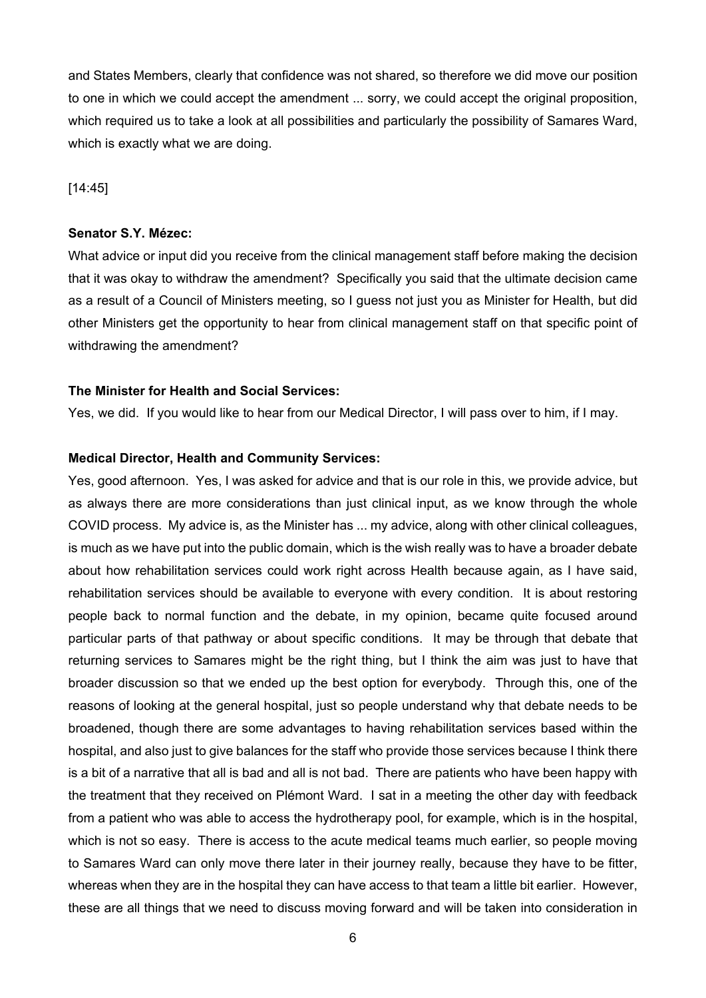and States Members, clearly that confidence was not shared, so therefore we did move our position to one in which we could accept the amendment ... sorry, we could accept the original proposition, which required us to take a look at all possibilities and particularly the possibility of Samares Ward, which is exactly what we are doing.

[14:45]

#### **Senator S.Y. Mézec:**

What advice or input did you receive from the clinical management staff before making the decision that it was okay to withdraw the amendment? Specifically you said that the ultimate decision came as a result of a Council of Ministers meeting, so I guess not just you as Minister for Health, but did other Ministers get the opportunity to hear from clinical management staff on that specific point of withdrawing the amendment?

## **The Minister for Health and Social Services:**

Yes, we did. If you would like to hear from our Medical Director, I will pass over to him, if I may.

#### **Medical Director, Health and Community Services:**

Yes, good afternoon. Yes, I was asked for advice and that is our role in this, we provide advice, but as always there are more considerations than just clinical input, as we know through the whole COVID process. My advice is, as the Minister has ... my advice, along with other clinical colleagues, is much as we have put into the public domain, which is the wish really was to have a broader debate about how rehabilitation services could work right across Health because again, as I have said, rehabilitation services should be available to everyone with every condition. It is about restoring people back to normal function and the debate, in my opinion, became quite focused around particular parts of that pathway or about specific conditions. It may be through that debate that returning services to Samares might be the right thing, but I think the aim was just to have that broader discussion so that we ended up the best option for everybody. Through this, one of the reasons of looking at the general hospital, just so people understand why that debate needs to be broadened, though there are some advantages to having rehabilitation services based within the hospital, and also just to give balances for the staff who provide those services because I think there is a bit of a narrative that all is bad and all is not bad. There are patients who have been happy with the treatment that they received on Plémont Ward. I sat in a meeting the other day with feedback from a patient who was able to access the hydrotherapy pool, for example, which is in the hospital, which is not so easy. There is access to the acute medical teams much earlier, so people moving to Samares Ward can only move there later in their journey really, because they have to be fitter, whereas when they are in the hospital they can have access to that team a little bit earlier. However, these are all things that we need to discuss moving forward and will be taken into consideration in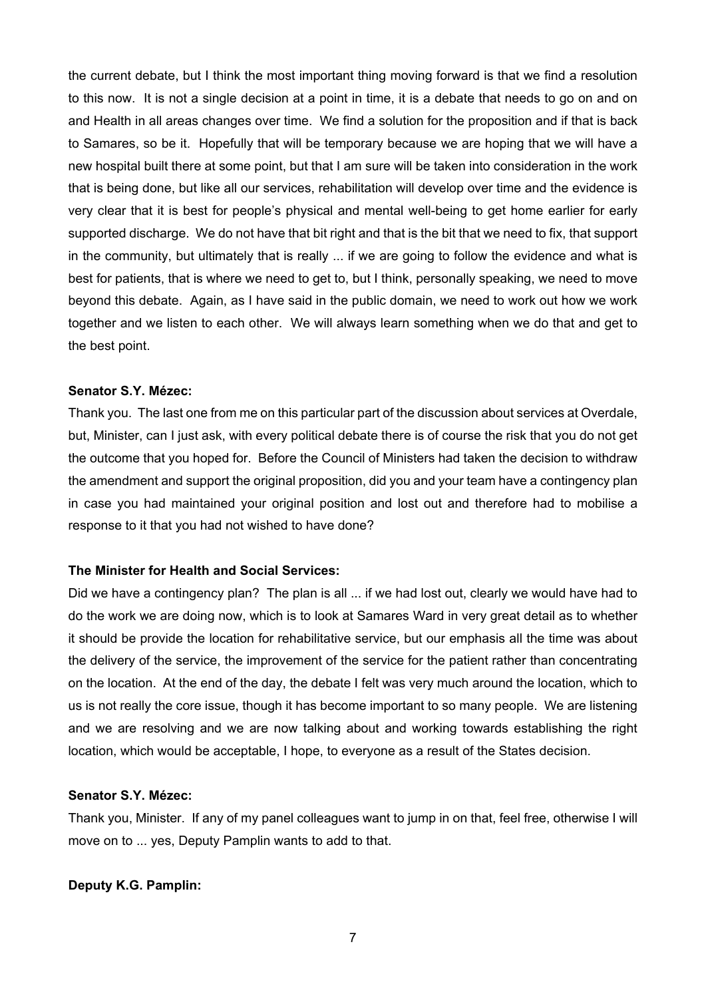the current debate, but I think the most important thing moving forward is that we find a resolution to this now. It is not a single decision at a point in time, it is a debate that needs to go on and on and Health in all areas changes over time. We find a solution for the proposition and if that is back to Samares, so be it. Hopefully that will be temporary because we are hoping that we will have a new hospital built there at some point, but that I am sure will be taken into consideration in the work that is being done, but like all our services, rehabilitation will develop over time and the evidence is very clear that it is best for people's physical and mental well-being to get home earlier for early supported discharge. We do not have that bit right and that is the bit that we need to fix, that support in the community, but ultimately that is really ... if we are going to follow the evidence and what is best for patients, that is where we need to get to, but I think, personally speaking, we need to move beyond this debate. Again, as I have said in the public domain, we need to work out how we work together and we listen to each other. We will always learn something when we do that and get to the best point.

#### **Senator S.Y. Mézec:**

Thank you. The last one from me on this particular part of the discussion about services at Overdale, but, Minister, can I just ask, with every political debate there is of course the risk that you do not get the outcome that you hoped for. Before the Council of Ministers had taken the decision to withdraw the amendment and support the original proposition, did you and your team have a contingency plan in case you had maintained your original position and lost out and therefore had to mobilise a response to it that you had not wished to have done?

## **The Minister for Health and Social Services:**

Did we have a contingency plan? The plan is all ... if we had lost out, clearly we would have had to do the work we are doing now, which is to look at Samares Ward in very great detail as to whether it should be provide the location for rehabilitative service, but our emphasis all the time was about the delivery of the service, the improvement of the service for the patient rather than concentrating on the location. At the end of the day, the debate I felt was very much around the location, which to us is not really the core issue, though it has become important to so many people. We are listening and we are resolving and we are now talking about and working towards establishing the right location, which would be acceptable, I hope, to everyone as a result of the States decision.

#### **Senator S.Y. Mézec:**

Thank you, Minister. If any of my panel colleagues want to jump in on that, feel free, otherwise I will move on to ... yes, Deputy Pamplin wants to add to that.

#### **Deputy K.G. Pamplin:**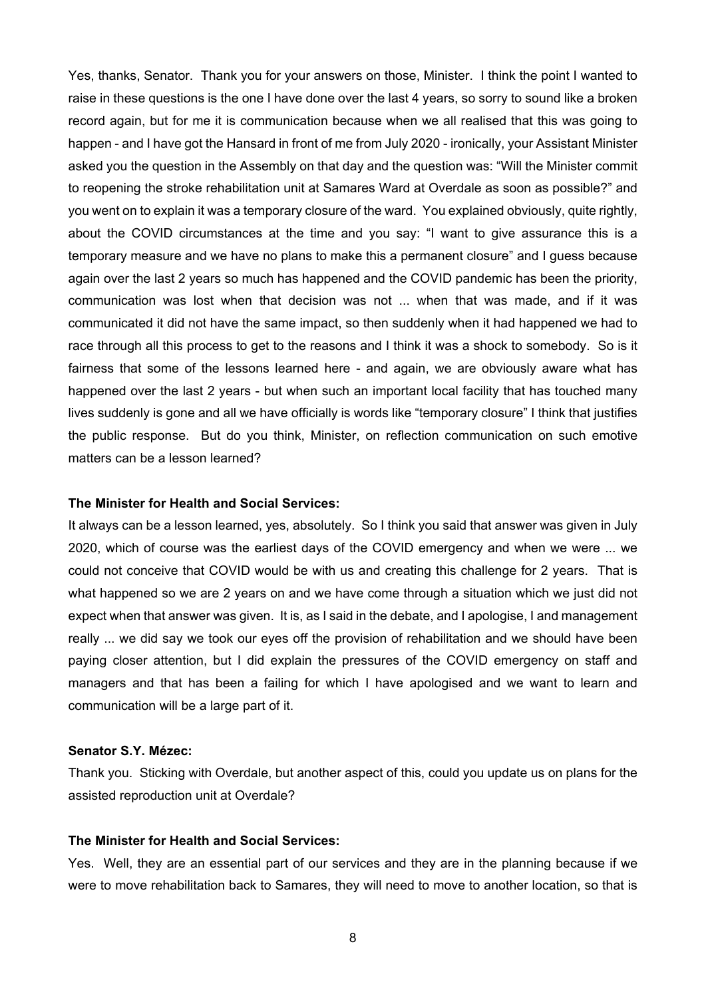Yes, thanks, Senator. Thank you for your answers on those, Minister. I think the point I wanted to raise in these questions is the one I have done over the last 4 years, so sorry to sound like a broken record again, but for me it is communication because when we all realised that this was going to happen - and I have got the Hansard in front of me from July 2020 - ironically, your Assistant Minister asked you the question in the Assembly on that day and the question was: "Will the Minister commit to reopening the stroke rehabilitation unit at Samares Ward at Overdale as soon as possible?" and you went on to explain it was a temporary closure of the ward. You explained obviously, quite rightly, about the COVID circumstances at the time and you say: "I want to give assurance this is a temporary measure and we have no plans to make this a permanent closure" and I guess because again over the last 2 years so much has happened and the COVID pandemic has been the priority, communication was lost when that decision was not ... when that was made, and if it was communicated it did not have the same impact, so then suddenly when it had happened we had to race through all this process to get to the reasons and I think it was a shock to somebody. So is it fairness that some of the lessons learned here - and again, we are obviously aware what has happened over the last 2 years - but when such an important local facility that has touched many lives suddenly is gone and all we have officially is words like "temporary closure" I think that justifies the public response. But do you think, Minister, on reflection communication on such emotive matters can be a lesson learned?

## **The Minister for Health and Social Services:**

It always can be a lesson learned, yes, absolutely. So I think you said that answer was given in July 2020, which of course was the earliest days of the COVID emergency and when we were ... we could not conceive that COVID would be with us and creating this challenge for 2 years. That is what happened so we are 2 years on and we have come through a situation which we just did not expect when that answer was given. It is, as I said in the debate, and I apologise, I and management really ... we did say we took our eyes off the provision of rehabilitation and we should have been paying closer attention, but I did explain the pressures of the COVID emergency on staff and managers and that has been a failing for which I have apologised and we want to learn and communication will be a large part of it.

## **Senator S.Y. Mézec:**

Thank you. Sticking with Overdale, but another aspect of this, could you update us on plans for the assisted reproduction unit at Overdale?

# **The Minister for Health and Social Services:**

Yes. Well, they are an essential part of our services and they are in the planning because if we were to move rehabilitation back to Samares, they will need to move to another location, so that is

8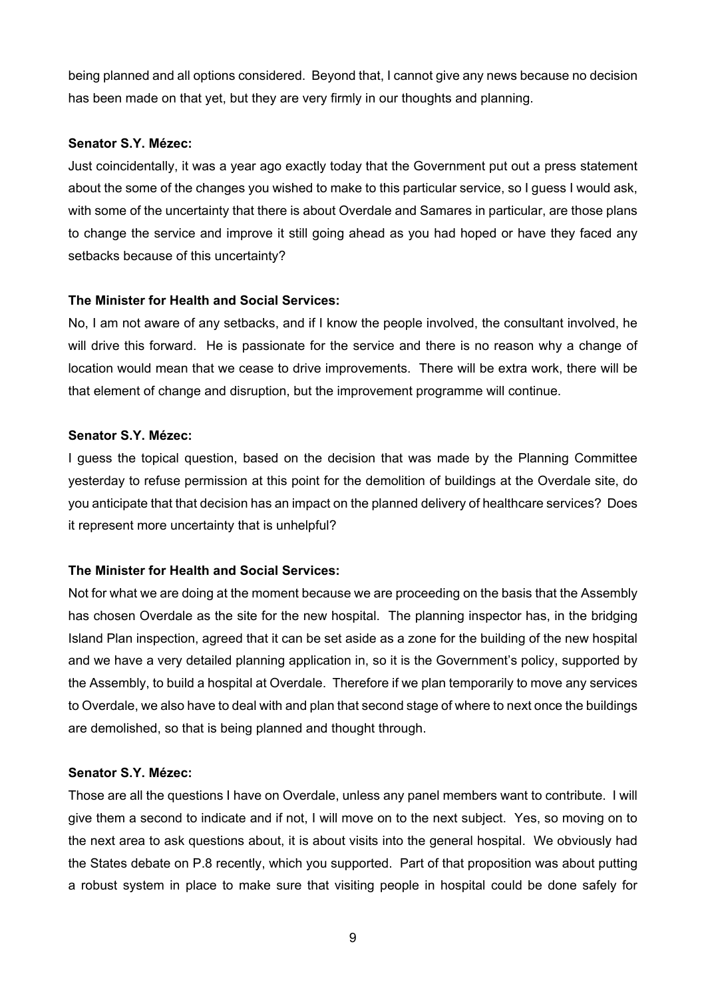being planned and all options considered. Beyond that, I cannot give any news because no decision has been made on that yet, but they are very firmly in our thoughts and planning.

## **Senator S.Y. Mézec:**

Just coincidentally, it was a year ago exactly today that the Government put out a press statement about the some of the changes you wished to make to this particular service, so I guess I would ask, with some of the uncertainty that there is about Overdale and Samares in particular, are those plans to change the service and improve it still going ahead as you had hoped or have they faced any setbacks because of this uncertainty?

# **The Minister for Health and Social Services:**

No, I am not aware of any setbacks, and if I know the people involved, the consultant involved, he will drive this forward. He is passionate for the service and there is no reason why a change of location would mean that we cease to drive improvements. There will be extra work, there will be that element of change and disruption, but the improvement programme will continue.

## **Senator S.Y. Mézec:**

I guess the topical question, based on the decision that was made by the Planning Committee yesterday to refuse permission at this point for the demolition of buildings at the Overdale site, do you anticipate that that decision has an impact on the planned delivery of healthcare services? Does it represent more uncertainty that is unhelpful?

# **The Minister for Health and Social Services:**

Not for what we are doing at the moment because we are proceeding on the basis that the Assembly has chosen Overdale as the site for the new hospital. The planning inspector has, in the bridging Island Plan inspection, agreed that it can be set aside as a zone for the building of the new hospital and we have a very detailed planning application in, so it is the Government's policy, supported by the Assembly, to build a hospital at Overdale. Therefore if we plan temporarily to move any services to Overdale, we also have to deal with and plan that second stage of where to next once the buildings are demolished, so that is being planned and thought through.

# **Senator S.Y. Mézec:**

Those are all the questions I have on Overdale, unless any panel members want to contribute. I will give them a second to indicate and if not, I will move on to the next subject. Yes, so moving on to the next area to ask questions about, it is about visits into the general hospital. We obviously had the States debate on P.8 recently, which you supported. Part of that proposition was about putting a robust system in place to make sure that visiting people in hospital could be done safely for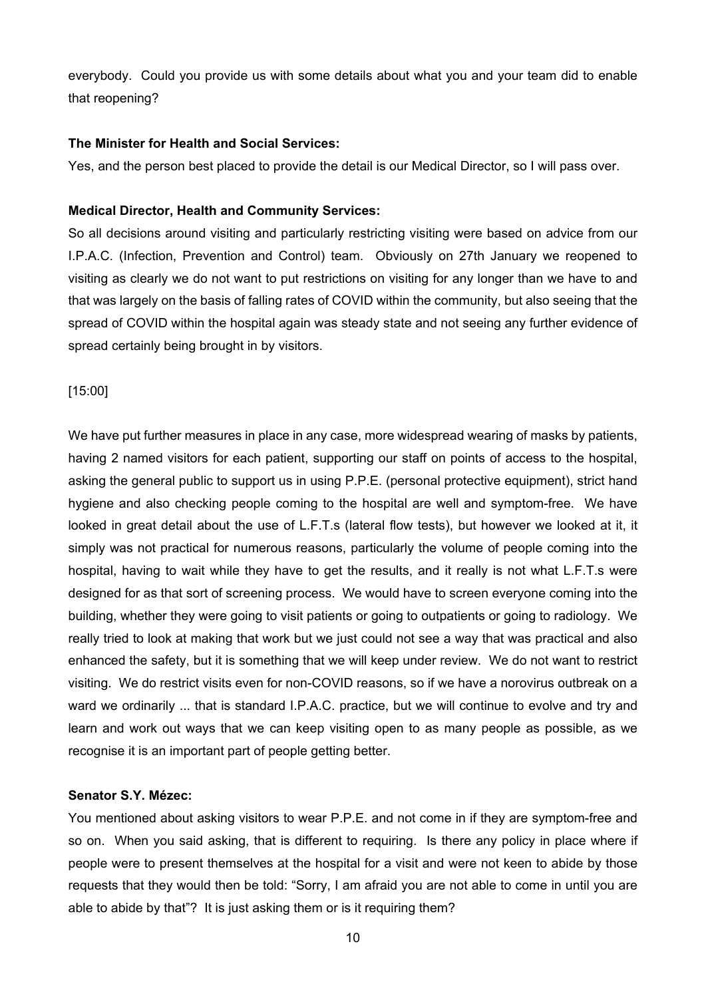everybody. Could you provide us with some details about what you and your team did to enable that reopening?

#### **The Minister for Health and Social Services:**

Yes, and the person best placed to provide the detail is our Medical Director, so I will pass over.

## **Medical Director, Health and Community Services:**

So all decisions around visiting and particularly restricting visiting were based on advice from our I.P.A.C. (Infection, Prevention and Control) team. Obviously on 27th January we reopened to visiting as clearly we do not want to put restrictions on visiting for any longer than we have to and that was largely on the basis of falling rates of COVID within the community, but also seeing that the spread of COVID within the hospital again was steady state and not seeing any further evidence of spread certainly being brought in by visitors.

[15:00]

We have put further measures in place in any case, more widespread wearing of masks by patients, having 2 named visitors for each patient, supporting our staff on points of access to the hospital, asking the general public to support us in using P.P.E. (personal protective equipment), strict hand hygiene and also checking people coming to the hospital are well and symptom-free. We have looked in great detail about the use of L.F.T.s (lateral flow tests), but however we looked at it, it simply was not practical for numerous reasons, particularly the volume of people coming into the hospital, having to wait while they have to get the results, and it really is not what L.F.T.s were designed for as that sort of screening process. We would have to screen everyone coming into the building, whether they were going to visit patients or going to outpatients or going to radiology. We really tried to look at making that work but we just could not see a way that was practical and also enhanced the safety, but it is something that we will keep under review. We do not want to restrict visiting. We do restrict visits even for non-COVID reasons, so if we have a norovirus outbreak on a ward we ordinarily ... that is standard I.P.A.C. practice, but we will continue to evolve and try and learn and work out ways that we can keep visiting open to as many people as possible, as we recognise it is an important part of people getting better.

#### **Senator S.Y. Mézec:**

You mentioned about asking visitors to wear P.P.E. and not come in if they are symptom-free and so on. When you said asking, that is different to requiring. Is there any policy in place where if people were to present themselves at the hospital for a visit and were not keen to abide by those requests that they would then be told: "Sorry, I am afraid you are not able to come in until you are able to abide by that"? It is just asking them or is it requiring them?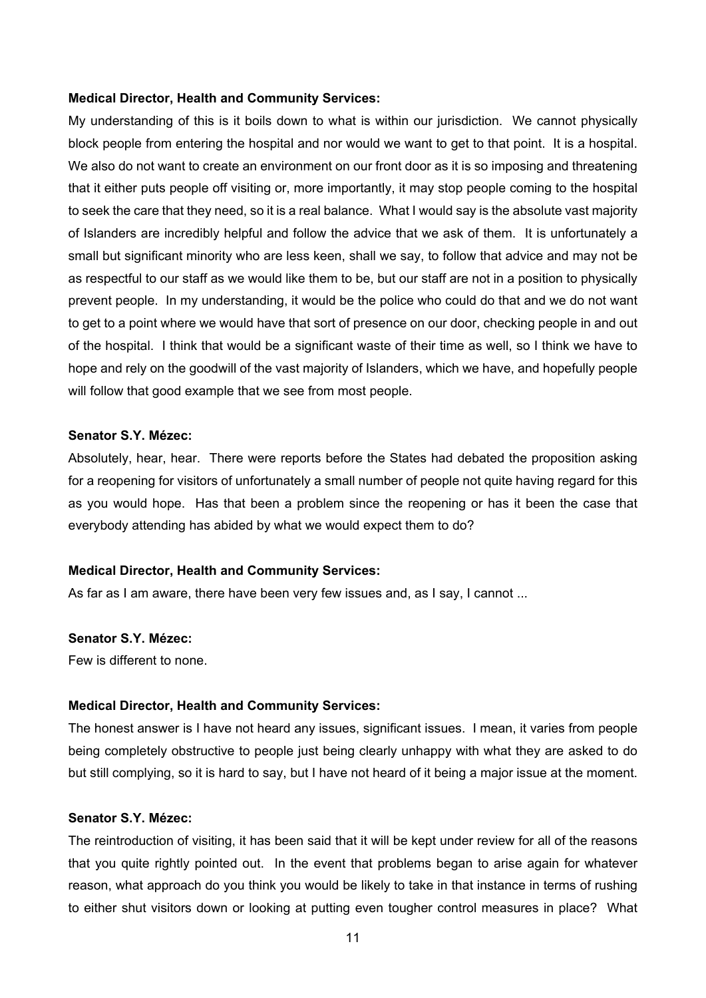#### **Medical Director, Health and Community Services:**

My understanding of this is it boils down to what is within our jurisdiction. We cannot physically block people from entering the hospital and nor would we want to get to that point. It is a hospital. We also do not want to create an environment on our front door as it is so imposing and threatening that it either puts people off visiting or, more importantly, it may stop people coming to the hospital to seek the care that they need, so it is a real balance. What I would say is the absolute vast majority of Islanders are incredibly helpful and follow the advice that we ask of them. It is unfortunately a small but significant minority who are less keen, shall we say, to follow that advice and may not be as respectful to our staff as we would like them to be, but our staff are not in a position to physically prevent people. In my understanding, it would be the police who could do that and we do not want to get to a point where we would have that sort of presence on our door, checking people in and out of the hospital. I think that would be a significant waste of their time as well, so I think we have to hope and rely on the goodwill of the vast majority of Islanders, which we have, and hopefully people will follow that good example that we see from most people.

# **Senator S.Y. Mézec:**

Absolutely, hear, hear. There were reports before the States had debated the proposition asking for a reopening for visitors of unfortunately a small number of people not quite having regard for this as you would hope. Has that been a problem since the reopening or has it been the case that everybody attending has abided by what we would expect them to do?

#### **Medical Director, Health and Community Services:**

As far as I am aware, there have been very few issues and, as I say, I cannot ...

#### **Senator S.Y. Mézec:**

Few is different to none.

### **Medical Director, Health and Community Services:**

The honest answer is I have not heard any issues, significant issues. I mean, it varies from people being completely obstructive to people just being clearly unhappy with what they are asked to do but still complying, so it is hard to say, but I have not heard of it being a major issue at the moment.

## **Senator S.Y. Mézec:**

The reintroduction of visiting, it has been said that it will be kept under review for all of the reasons that you quite rightly pointed out. In the event that problems began to arise again for whatever reason, what approach do you think you would be likely to take in that instance in terms of rushing to either shut visitors down or looking at putting even tougher control measures in place? What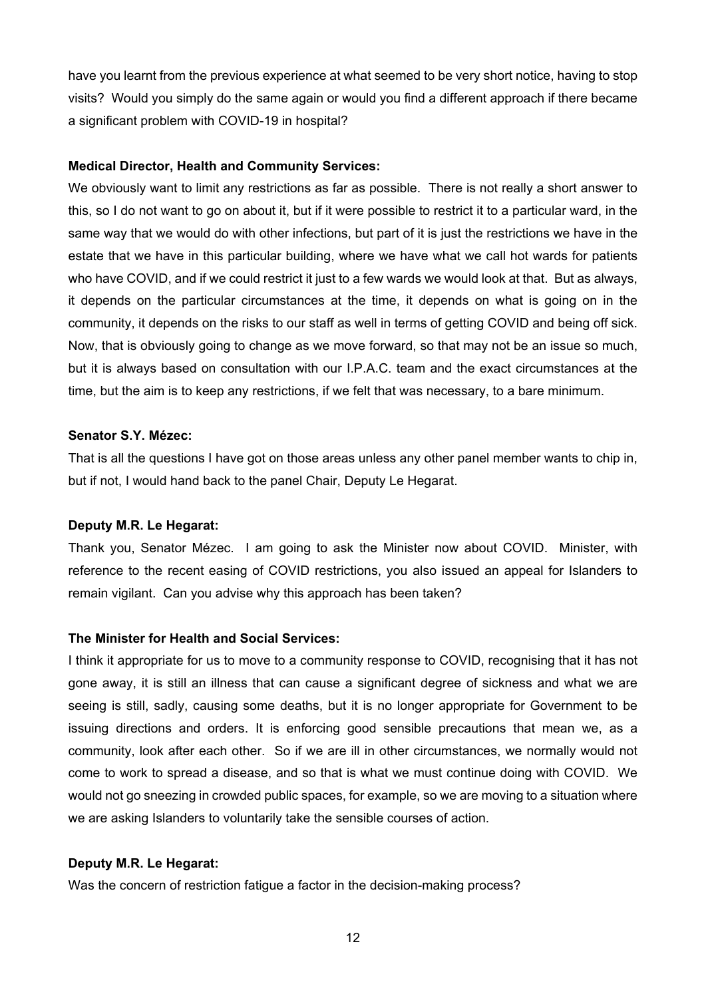have you learnt from the previous experience at what seemed to be very short notice, having to stop visits? Would you simply do the same again or would you find a different approach if there became a significant problem with COVID-19 in hospital?

## **Medical Director, Health and Community Services:**

We obviously want to limit any restrictions as far as possible. There is not really a short answer to this, so I do not want to go on about it, but if it were possible to restrict it to a particular ward, in the same way that we would do with other infections, but part of it is just the restrictions we have in the estate that we have in this particular building, where we have what we call hot wards for patients who have COVID, and if we could restrict it just to a few wards we would look at that. But as always, it depends on the particular circumstances at the time, it depends on what is going on in the community, it depends on the risks to our staff as well in terms of getting COVID and being off sick. Now, that is obviously going to change as we move forward, so that may not be an issue so much, but it is always based on consultation with our I.P.A.C. team and the exact circumstances at the time, but the aim is to keep any restrictions, if we felt that was necessary, to a bare minimum.

## **Senator S.Y. Mézec:**

That is all the questions I have got on those areas unless any other panel member wants to chip in, but if not, I would hand back to the panel Chair, Deputy Le Hegarat.

## **Deputy M.R. Le Hegarat:**

Thank you, Senator Mézec. I am going to ask the Minister now about COVID. Minister, with reference to the recent easing of COVID restrictions, you also issued an appeal for Islanders to remain vigilant. Can you advise why this approach has been taken?

## **The Minister for Health and Social Services:**

I think it appropriate for us to move to a community response to COVID, recognising that it has not gone away, it is still an illness that can cause a significant degree of sickness and what we are seeing is still, sadly, causing some deaths, but it is no longer appropriate for Government to be issuing directions and orders. It is enforcing good sensible precautions that mean we, as a community, look after each other. So if we are ill in other circumstances, we normally would not come to work to spread a disease, and so that is what we must continue doing with COVID. We would not go sneezing in crowded public spaces, for example, so we are moving to a situation where we are asking Islanders to voluntarily take the sensible courses of action.

## **Deputy M.R. Le Hegarat:**

Was the concern of restriction fatigue a factor in the decision-making process?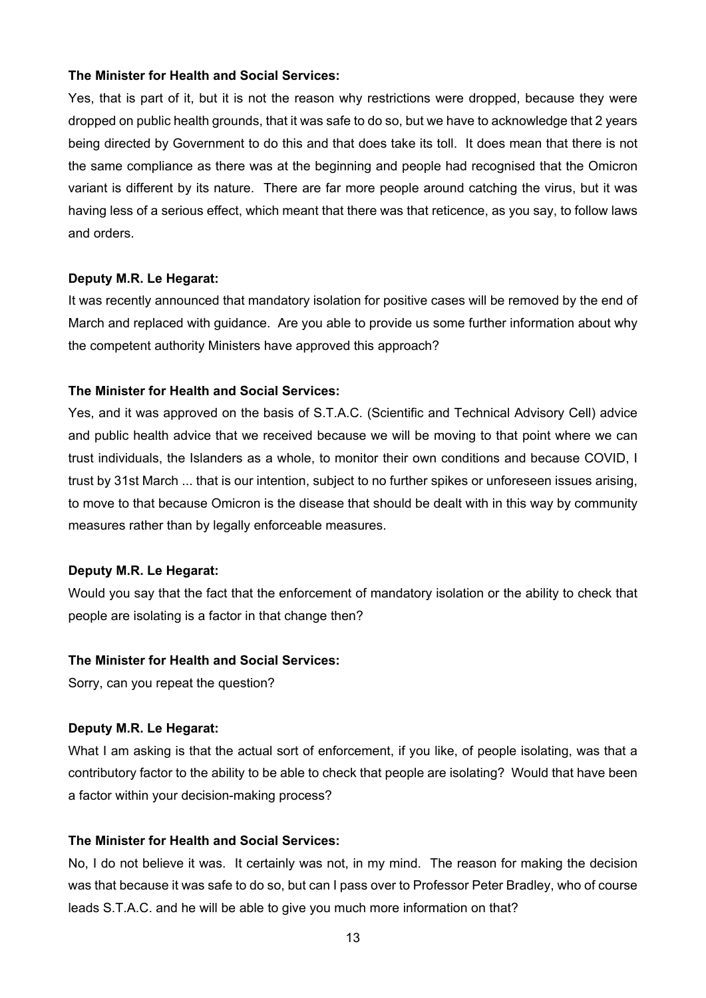### **The Minister for Health and Social Services:**

Yes, that is part of it, but it is not the reason why restrictions were dropped, because they were dropped on public health grounds, that it was safe to do so, but we have to acknowledge that 2 years being directed by Government to do this and that does take its toll. It does mean that there is not the same compliance as there was at the beginning and people had recognised that the Omicron variant is different by its nature. There are far more people around catching the virus, but it was having less of a serious effect, which meant that there was that reticence, as you say, to follow laws and orders.

## **Deputy M.R. Le Hegarat:**

It was recently announced that mandatory isolation for positive cases will be removed by the end of March and replaced with guidance. Are you able to provide us some further information about why the competent authority Ministers have approved this approach?

## **The Minister for Health and Social Services:**

Yes, and it was approved on the basis of S.T.A.C. (Scientific and Technical Advisory Cell) advice and public health advice that we received because we will be moving to that point where we can trust individuals, the Islanders as a whole, to monitor their own conditions and because COVID, I trust by 31st March ... that is our intention, subject to no further spikes or unforeseen issues arising, to move to that because Omicron is the disease that should be dealt with in this way by community measures rather than by legally enforceable measures.

#### **Deputy M.R. Le Hegarat:**

Would you say that the fact that the enforcement of mandatory isolation or the ability to check that people are isolating is a factor in that change then?

## **The Minister for Health and Social Services:**

Sorry, can you repeat the question?

#### **Deputy M.R. Le Hegarat:**

What I am asking is that the actual sort of enforcement, if you like, of people isolating, was that a contributory factor to the ability to be able to check that people are isolating? Would that have been a factor within your decision-making process?

# **The Minister for Health and Social Services:**

No, I do not believe it was. It certainly was not, in my mind. The reason for making the decision was that because it was safe to do so, but can I pass over to Professor Peter Bradley, who of course leads S.T.A.C. and he will be able to give you much more information on that?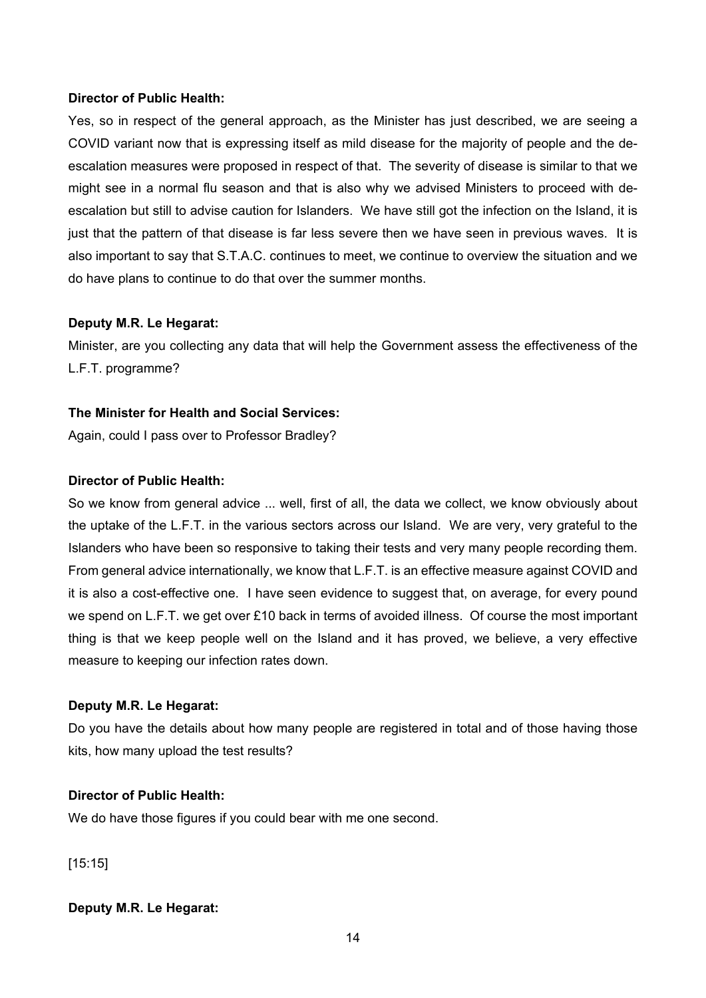## **Director of Public Health:**

Yes, so in respect of the general approach, as the Minister has just described, we are seeing a COVID variant now that is expressing itself as mild disease for the majority of people and the deescalation measures were proposed in respect of that. The severity of disease is similar to that we might see in a normal flu season and that is also why we advised Ministers to proceed with deescalation but still to advise caution for Islanders. We have still got the infection on the Island, it is just that the pattern of that disease is far less severe then we have seen in previous waves. It is also important to say that S.T.A.C. continues to meet, we continue to overview the situation and we do have plans to continue to do that over the summer months.

## **Deputy M.R. Le Hegarat:**

Minister, are you collecting any data that will help the Government assess the effectiveness of the L.F.T. programme?

## **The Minister for Health and Social Services:**

Again, could I pass over to Professor Bradley?

## **Director of Public Health:**

So we know from general advice ... well, first of all, the data we collect, we know obviously about the uptake of the L.F.T. in the various sectors across our Island. We are very, very grateful to the Islanders who have been so responsive to taking their tests and very many people recording them. From general advice internationally, we know that L.F.T. is an effective measure against COVID and it is also a cost-effective one. I have seen evidence to suggest that, on average, for every pound we spend on L.F.T. we get over £10 back in terms of avoided illness. Of course the most important thing is that we keep people well on the Island and it has proved, we believe, a very effective measure to keeping our infection rates down.

# **Deputy M.R. Le Hegarat:**

Do you have the details about how many people are registered in total and of those having those kits, how many upload the test results?

# **Director of Public Health:**

We do have those figures if you could bear with me one second.

[15:15]

# **Deputy M.R. Le Hegarat:**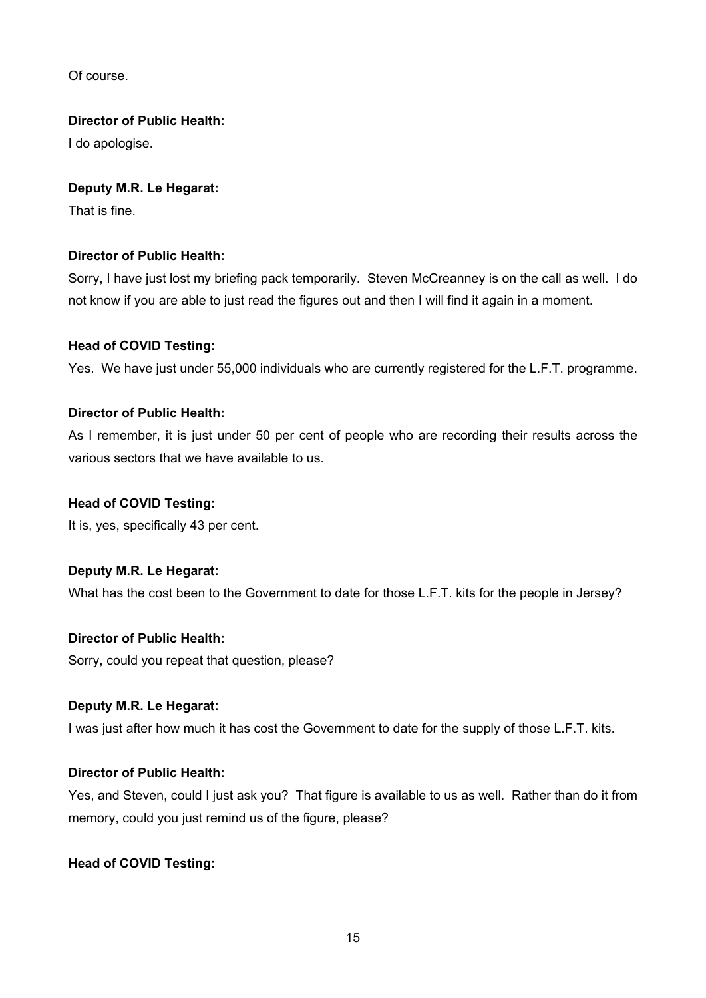Of course.

# **Director of Public Health:**

I do apologise.

# **Deputy M.R. Le Hegarat:**

That is fine.

# **Director of Public Health:**

Sorry, I have just lost my briefing pack temporarily. Steven McCreanney is on the call as well. I do not know if you are able to just read the figures out and then I will find it again in a moment.

# **Head of COVID Testing:**

Yes. We have just under 55,000 individuals who are currently registered for the L.F.T. programme.

# **Director of Public Health:**

As I remember, it is just under 50 per cent of people who are recording their results across the various sectors that we have available to us.

# **Head of COVID Testing:**

It is, yes, specifically 43 per cent.

# **Deputy M.R. Le Hegarat:**

What has the cost been to the Government to date for those L.F.T. kits for the people in Jersey?

# **Director of Public Health:**

Sorry, could you repeat that question, please?

# **Deputy M.R. Le Hegarat:**

I was just after how much it has cost the Government to date for the supply of those L.F.T. kits.

# **Director of Public Health:**

Yes, and Steven, could I just ask you? That figure is available to us as well. Rather than do it from memory, could you just remind us of the figure, please?

# **Head of COVID Testing:**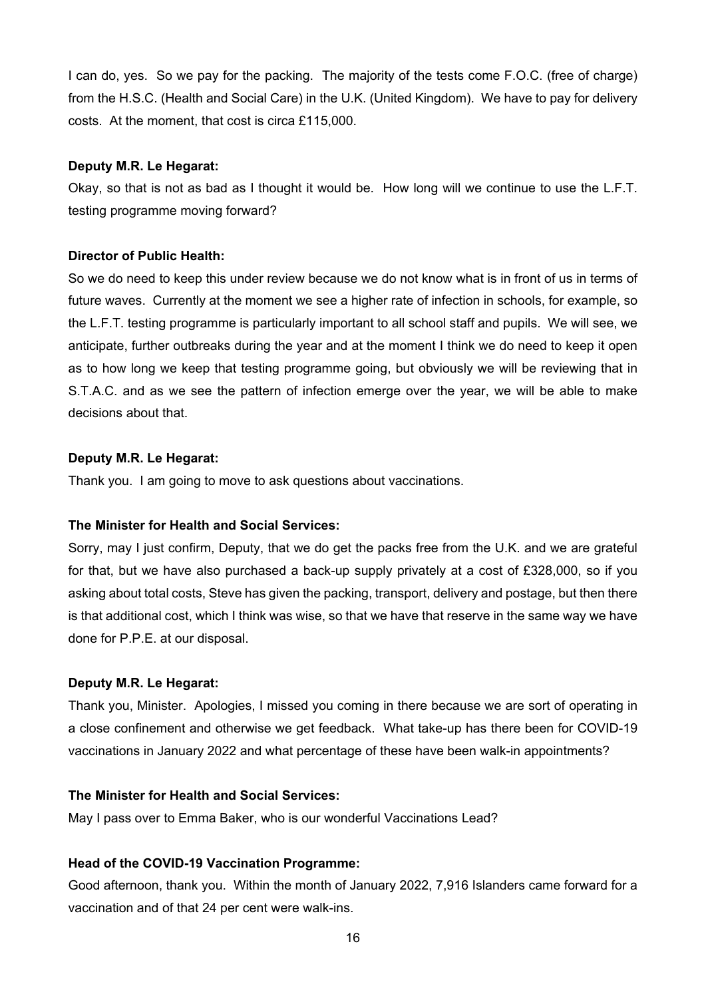I can do, yes. So we pay for the packing. The majority of the tests come F.O.C. (free of charge) from the H.S.C. (Health and Social Care) in the U.K. (United Kingdom). We have to pay for delivery costs. At the moment, that cost is circa £115,000.

## **Deputy M.R. Le Hegarat:**

Okay, so that is not as bad as I thought it would be. How long will we continue to use the L.F.T. testing programme moving forward?

# **Director of Public Health:**

So we do need to keep this under review because we do not know what is in front of us in terms of future waves. Currently at the moment we see a higher rate of infection in schools, for example, so the L.F.T. testing programme is particularly important to all school staff and pupils. We will see, we anticipate, further outbreaks during the year and at the moment I think we do need to keep it open as to how long we keep that testing programme going, but obviously we will be reviewing that in S.T.A.C. and as we see the pattern of infection emerge over the year, we will be able to make decisions about that.

# **Deputy M.R. Le Hegarat:**

Thank you. I am going to move to ask questions about vaccinations.

# **The Minister for Health and Social Services:**

Sorry, may I just confirm, Deputy, that we do get the packs free from the U.K. and we are grateful for that, but we have also purchased a back-up supply privately at a cost of £328,000, so if you asking about total costs, Steve has given the packing, transport, delivery and postage, but then there is that additional cost, which I think was wise, so that we have that reserve in the same way we have done for P.P.E. at our disposal.

# **Deputy M.R. Le Hegarat:**

Thank you, Minister. Apologies, I missed you coming in there because we are sort of operating in a close confinement and otherwise we get feedback. What take-up has there been for COVID-19 vaccinations in January 2022 and what percentage of these have been walk-in appointments?

# **The Minister for Health and Social Services:**

May I pass over to Emma Baker, who is our wonderful Vaccinations Lead?

# **Head of the COVID-19 Vaccination Programme:**

Good afternoon, thank you. Within the month of January 2022, 7,916 Islanders came forward for a vaccination and of that 24 per cent were walk-ins.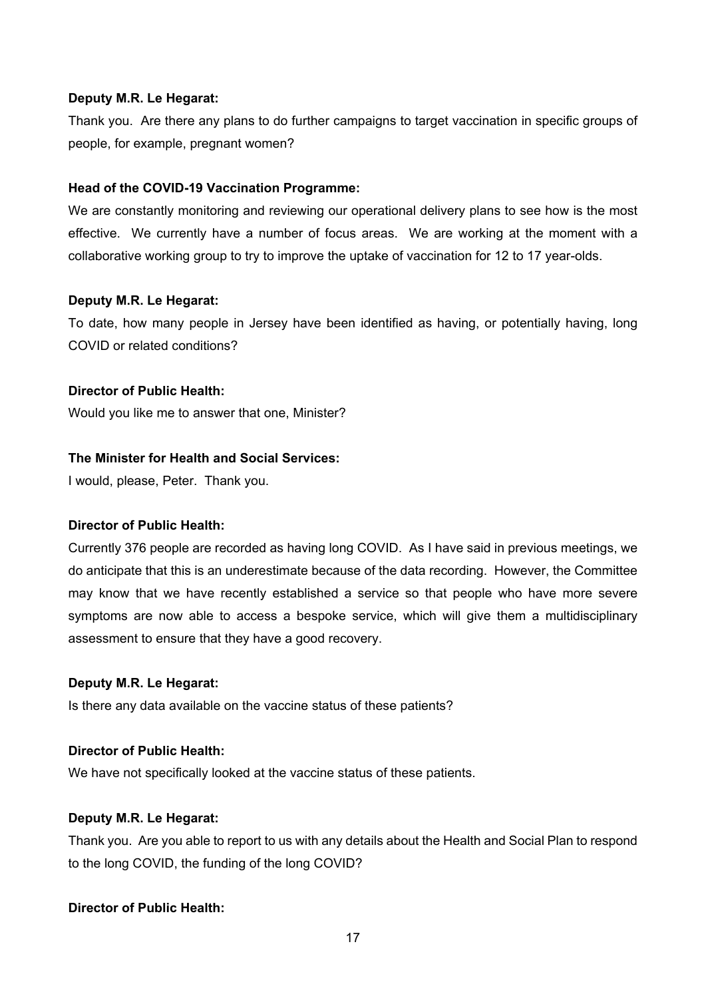## **Deputy M.R. Le Hegarat:**

Thank you. Are there any plans to do further campaigns to target vaccination in specific groups of people, for example, pregnant women?

## **Head of the COVID-19 Vaccination Programme:**

We are constantly monitoring and reviewing our operational delivery plans to see how is the most effective. We currently have a number of focus areas. We are working at the moment with a collaborative working group to try to improve the uptake of vaccination for 12 to 17 year-olds.

## **Deputy M.R. Le Hegarat:**

To date, how many people in Jersey have been identified as having, or potentially having, long COVID or related conditions?

# **Director of Public Health:**

Would you like me to answer that one, Minister?

## **The Minister for Health and Social Services:**

I would, please, Peter. Thank you.

## **Director of Public Health:**

Currently 376 people are recorded as having long COVID. As I have said in previous meetings, we do anticipate that this is an underestimate because of the data recording. However, the Committee may know that we have recently established a service so that people who have more severe symptoms are now able to access a bespoke service, which will give them a multidisciplinary assessment to ensure that they have a good recovery.

## **Deputy M.R. Le Hegarat:**

Is there any data available on the vaccine status of these patients?

# **Director of Public Health:**

We have not specifically looked at the vaccine status of these patients.

# **Deputy M.R. Le Hegarat:**

Thank you. Are you able to report to us with any details about the Health and Social Plan to respond to the long COVID, the funding of the long COVID?

# **Director of Public Health:**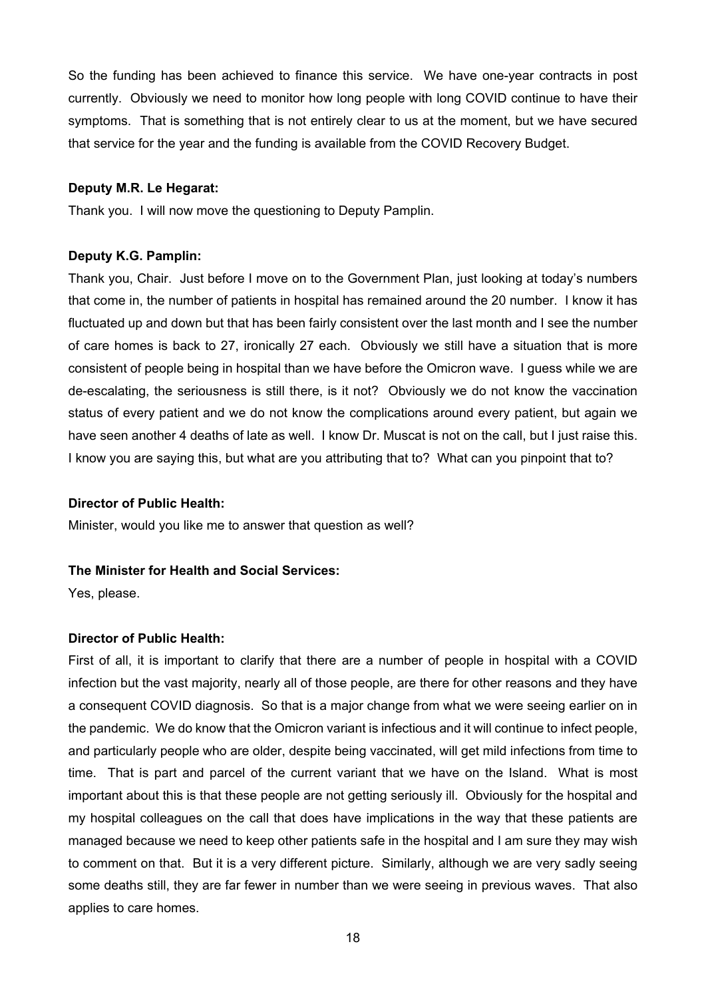So the funding has been achieved to finance this service. We have one-year contracts in post currently. Obviously we need to monitor how long people with long COVID continue to have their symptoms. That is something that is not entirely clear to us at the moment, but we have secured that service for the year and the funding is available from the COVID Recovery Budget.

## **Deputy M.R. Le Hegarat:**

Thank you. I will now move the questioning to Deputy Pamplin.

#### **Deputy K.G. Pamplin:**

Thank you, Chair. Just before I move on to the Government Plan, just looking at today's numbers that come in, the number of patients in hospital has remained around the 20 number. I know it has fluctuated up and down but that has been fairly consistent over the last month and I see the number of care homes is back to 27, ironically 27 each. Obviously we still have a situation that is more consistent of people being in hospital than we have before the Omicron wave. I guess while we are de-escalating, the seriousness is still there, is it not? Obviously we do not know the vaccination status of every patient and we do not know the complications around every patient, but again we have seen another 4 deaths of late as well. I know Dr. Muscat is not on the call, but I just raise this. I know you are saying this, but what are you attributing that to? What can you pinpoint that to?

### **Director of Public Health:**

Minister, would you like me to answer that question as well?

#### **The Minister for Health and Social Services:**

Yes, please.

## **Director of Public Health:**

First of all, it is important to clarify that there are a number of people in hospital with a COVID infection but the vast majority, nearly all of those people, are there for other reasons and they have a consequent COVID diagnosis. So that is a major change from what we were seeing earlier on in the pandemic. We do know that the Omicron variant is infectious and it will continue to infect people, and particularly people who are older, despite being vaccinated, will get mild infections from time to time. That is part and parcel of the current variant that we have on the Island. What is most important about this is that these people are not getting seriously ill. Obviously for the hospital and my hospital colleagues on the call that does have implications in the way that these patients are managed because we need to keep other patients safe in the hospital and I am sure they may wish to comment on that. But it is a very different picture. Similarly, although we are very sadly seeing some deaths still, they are far fewer in number than we were seeing in previous waves. That also applies to care homes.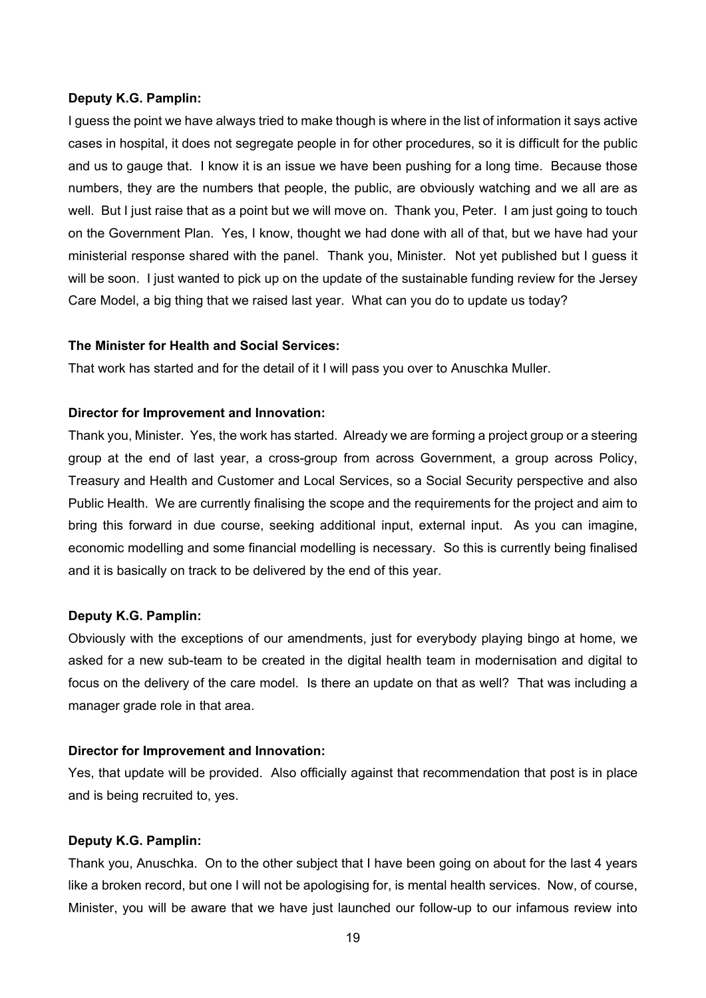#### **Deputy K.G. Pamplin:**

I guess the point we have always tried to make though is where in the list of information it says active cases in hospital, it does not segregate people in for other procedures, so it is difficult for the public and us to gauge that. I know it is an issue we have been pushing for a long time. Because those numbers, they are the numbers that people, the public, are obviously watching and we all are as well. But I just raise that as a point but we will move on. Thank you, Peter. I am just going to touch on the Government Plan. Yes, I know, thought we had done with all of that, but we have had your ministerial response shared with the panel. Thank you, Minister. Not yet published but I guess it will be soon. I just wanted to pick up on the update of the sustainable funding review for the Jersey Care Model, a big thing that we raised last year. What can you do to update us today?

## **The Minister for Health and Social Services:**

That work has started and for the detail of it I will pass you over to Anuschka Muller.

### **Director for Improvement and Innovation:**

Thank you, Minister. Yes, the work has started. Already we are forming a project group or a steering group at the end of last year, a cross-group from across Government, a group across Policy, Treasury and Health and Customer and Local Services, so a Social Security perspective and also Public Health. We are currently finalising the scope and the requirements for the project and aim to bring this forward in due course, seeking additional input, external input. As you can imagine, economic modelling and some financial modelling is necessary. So this is currently being finalised and it is basically on track to be delivered by the end of this year.

## **Deputy K.G. Pamplin:**

Obviously with the exceptions of our amendments, just for everybody playing bingo at home, we asked for a new sub-team to be created in the digital health team in modernisation and digital to focus on the delivery of the care model. Is there an update on that as well? That was including a manager grade role in that area.

### **Director for Improvement and Innovation:**

Yes, that update will be provided. Also officially against that recommendation that post is in place and is being recruited to, yes.

## **Deputy K.G. Pamplin:**

Thank you, Anuschka. On to the other subject that I have been going on about for the last 4 years like a broken record, but one I will not be apologising for, is mental health services. Now, of course, Minister, you will be aware that we have just launched our follow-up to our infamous review into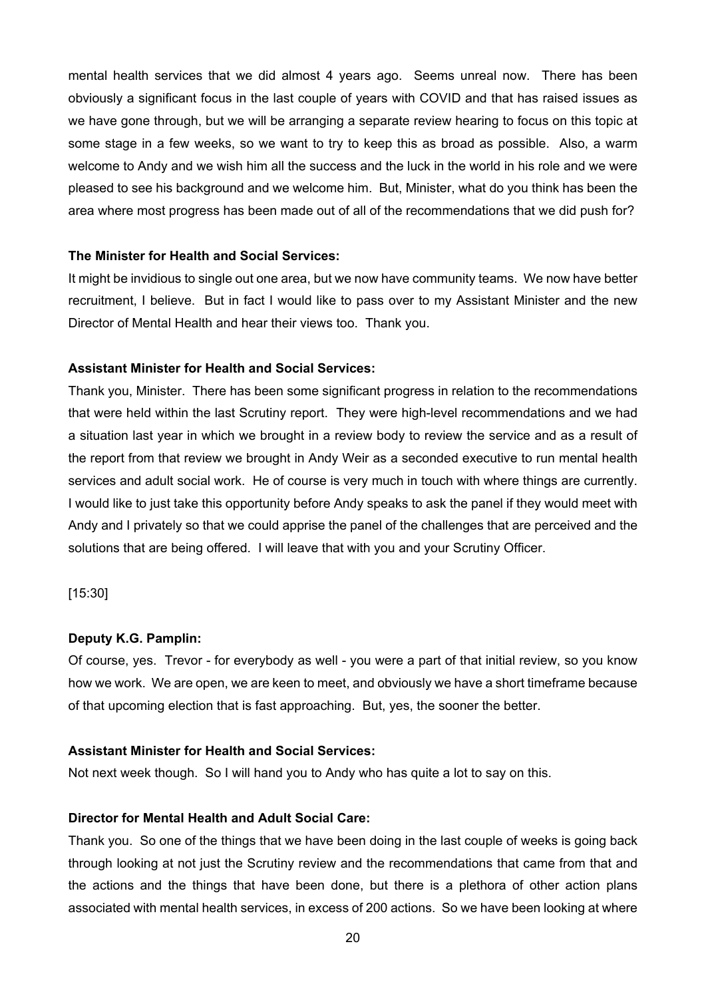mental health services that we did almost 4 years ago. Seems unreal now. There has been obviously a significant focus in the last couple of years with COVID and that has raised issues as we have gone through, but we will be arranging a separate review hearing to focus on this topic at some stage in a few weeks, so we want to try to keep this as broad as possible. Also, a warm welcome to Andy and we wish him all the success and the luck in the world in his role and we were pleased to see his background and we welcome him. But, Minister, what do you think has been the area where most progress has been made out of all of the recommendations that we did push for?

## **The Minister for Health and Social Services:**

It might be invidious to single out one area, but we now have community teams. We now have better recruitment, I believe. But in fact I would like to pass over to my Assistant Minister and the new Director of Mental Health and hear their views too. Thank you.

## **Assistant Minister for Health and Social Services:**

Thank you, Minister. There has been some significant progress in relation to the recommendations that were held within the last Scrutiny report. They were high-level recommendations and we had a situation last year in which we brought in a review body to review the service and as a result of the report from that review we brought in Andy Weir as a seconded executive to run mental health services and adult social work. He of course is very much in touch with where things are currently. I would like to just take this opportunity before Andy speaks to ask the panel if they would meet with Andy and I privately so that we could apprise the panel of the challenges that are perceived and the solutions that are being offered. I will leave that with you and your Scrutiny Officer.

[15:30]

#### **Deputy K.G. Pamplin:**

Of course, yes. Trevor - for everybody as well - you were a part of that initial review, so you know how we work. We are open, we are keen to meet, and obviously we have a short timeframe because of that upcoming election that is fast approaching. But, yes, the sooner the better.

## **Assistant Minister for Health and Social Services:**

Not next week though. So I will hand you to Andy who has quite a lot to say on this.

#### **Director for Mental Health and Adult Social Care:**

Thank you. So one of the things that we have been doing in the last couple of weeks is going back through looking at not just the Scrutiny review and the recommendations that came from that and the actions and the things that have been done, but there is a plethora of other action plans associated with mental health services, in excess of 200 actions. So we have been looking at where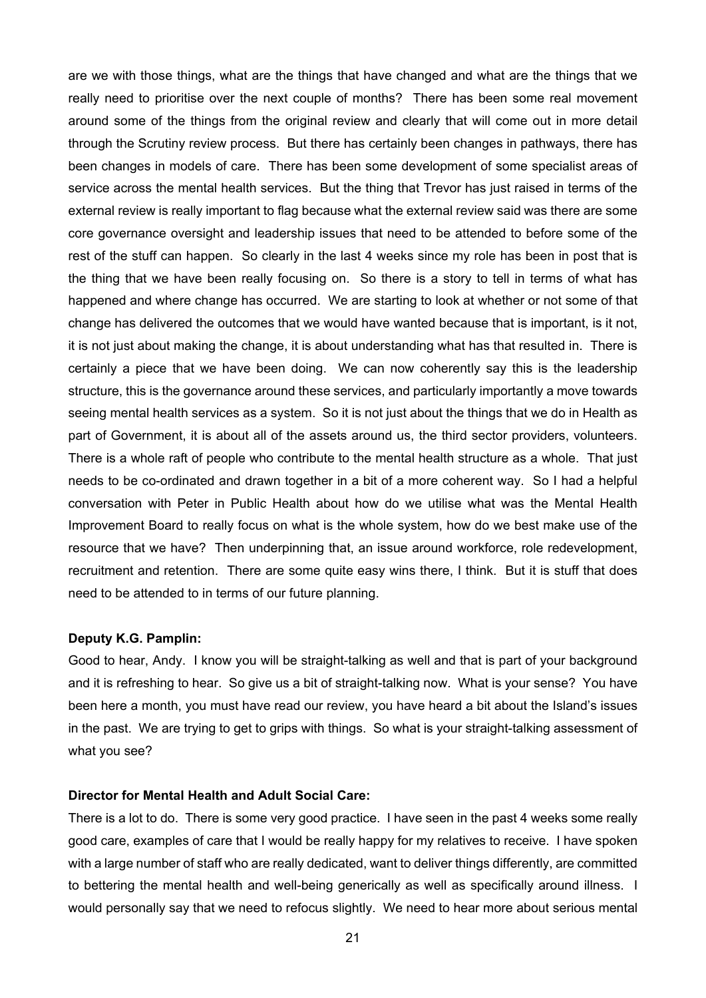are we with those things, what are the things that have changed and what are the things that we really need to prioritise over the next couple of months? There has been some real movement around some of the things from the original review and clearly that will come out in more detail through the Scrutiny review process. But there has certainly been changes in pathways, there has been changes in models of care. There has been some development of some specialist areas of service across the mental health services. But the thing that Trevor has just raised in terms of the external review is really important to flag because what the external review said was there are some core governance oversight and leadership issues that need to be attended to before some of the rest of the stuff can happen. So clearly in the last 4 weeks since my role has been in post that is the thing that we have been really focusing on. So there is a story to tell in terms of what has happened and where change has occurred. We are starting to look at whether or not some of that change has delivered the outcomes that we would have wanted because that is important, is it not, it is not just about making the change, it is about understanding what has that resulted in. There is certainly a piece that we have been doing. We can now coherently say this is the leadership structure, this is the governance around these services, and particularly importantly a move towards seeing mental health services as a system. So it is not just about the things that we do in Health as part of Government, it is about all of the assets around us, the third sector providers, volunteers. There is a whole raft of people who contribute to the mental health structure as a whole. That just needs to be co-ordinated and drawn together in a bit of a more coherent way. So I had a helpful conversation with Peter in Public Health about how do we utilise what was the Mental Health Improvement Board to really focus on what is the whole system, how do we best make use of the resource that we have? Then underpinning that, an issue around workforce, role redevelopment, recruitment and retention. There are some quite easy wins there, I think. But it is stuff that does need to be attended to in terms of our future planning.

#### **Deputy K.G. Pamplin:**

Good to hear, Andy. I know you will be straight-talking as well and that is part of your background and it is refreshing to hear. So give us a bit of straight-talking now. What is your sense? You have been here a month, you must have read our review, you have heard a bit about the Island's issues in the past. We are trying to get to grips with things. So what is your straight-talking assessment of what you see?

#### **Director for Mental Health and Adult Social Care:**

There is a lot to do. There is some very good practice. I have seen in the past 4 weeks some really good care, examples of care that I would be really happy for my relatives to receive. I have spoken with a large number of staff who are really dedicated, want to deliver things differently, are committed to bettering the mental health and well-being generically as well as specifically around illness. I would personally say that we need to refocus slightly. We need to hear more about serious mental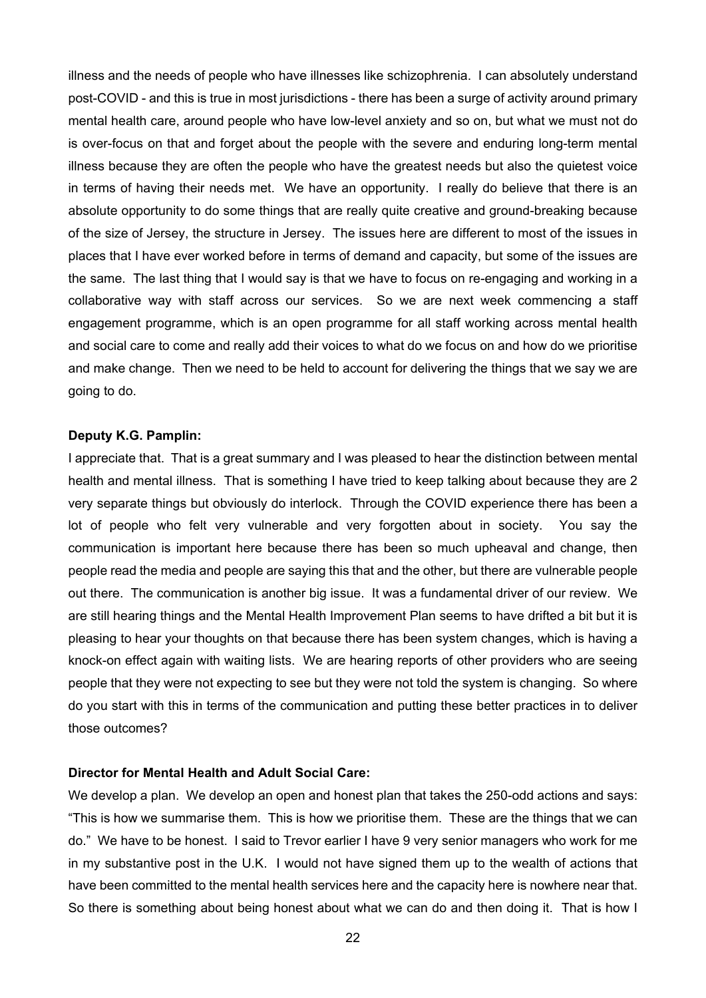illness and the needs of people who have illnesses like schizophrenia. I can absolutely understand post-COVID - and this is true in most jurisdictions - there has been a surge of activity around primary mental health care, around people who have low-level anxiety and so on, but what we must not do is over-focus on that and forget about the people with the severe and enduring long-term mental illness because they are often the people who have the greatest needs but also the quietest voice in terms of having their needs met. We have an opportunity. I really do believe that there is an absolute opportunity to do some things that are really quite creative and ground-breaking because of the size of Jersey, the structure in Jersey. The issues here are different to most of the issues in places that I have ever worked before in terms of demand and capacity, but some of the issues are the same. The last thing that I would say is that we have to focus on re-engaging and working in a collaborative way with staff across our services. So we are next week commencing a staff engagement programme, which is an open programme for all staff working across mental health and social care to come and really add their voices to what do we focus on and how do we prioritise and make change. Then we need to be held to account for delivering the things that we say we are going to do.

## **Deputy K.G. Pamplin:**

I appreciate that. That is a great summary and I was pleased to hear the distinction between mental health and mental illness. That is something I have tried to keep talking about because they are 2 very separate things but obviously do interlock. Through the COVID experience there has been a lot of people who felt very vulnerable and very forgotten about in society. You say the communication is important here because there has been so much upheaval and change, then people read the media and people are saying this that and the other, but there are vulnerable people out there. The communication is another big issue. It was a fundamental driver of our review. We are still hearing things and the Mental Health Improvement Plan seems to have drifted a bit but it is pleasing to hear your thoughts on that because there has been system changes, which is having a knock-on effect again with waiting lists. We are hearing reports of other providers who are seeing people that they were not expecting to see but they were not told the system is changing. So where do you start with this in terms of the communication and putting these better practices in to deliver those outcomes?

# **Director for Mental Health and Adult Social Care:**

We develop a plan. We develop an open and honest plan that takes the 250-odd actions and says: "This is how we summarise them. This is how we prioritise them. These are the things that we can do." We have to be honest. I said to Trevor earlier I have 9 very senior managers who work for me in my substantive post in the U.K. I would not have signed them up to the wealth of actions that have been committed to the mental health services here and the capacity here is nowhere near that. So there is something about being honest about what we can do and then doing it. That is how I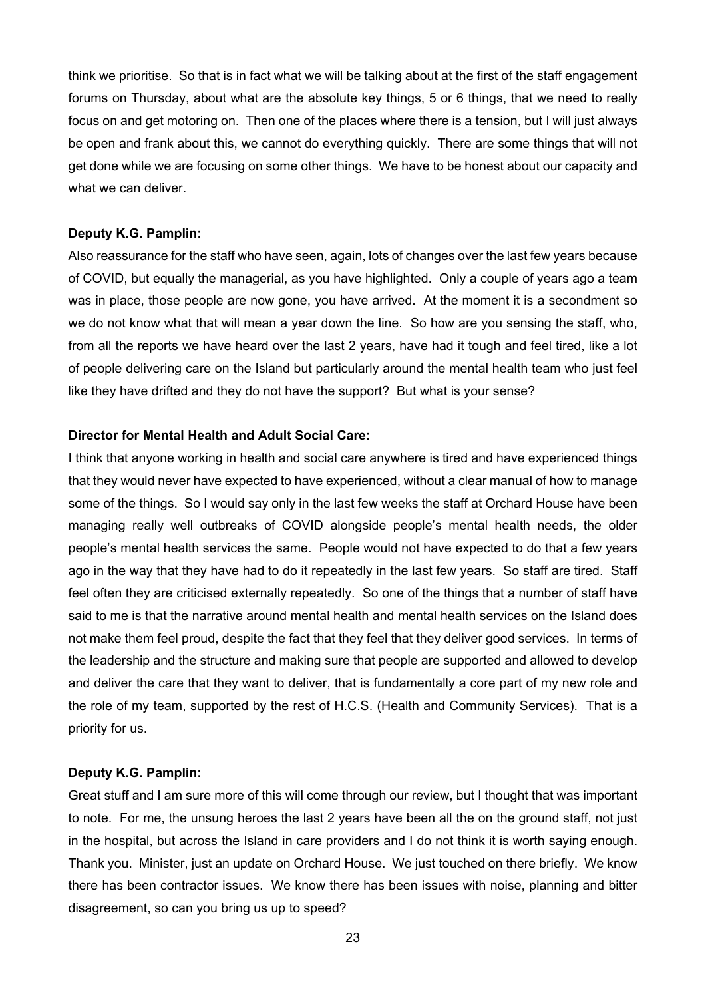think we prioritise. So that is in fact what we will be talking about at the first of the staff engagement forums on Thursday, about what are the absolute key things, 5 or 6 things, that we need to really focus on and get motoring on. Then one of the places where there is a tension, but I will just always be open and frank about this, we cannot do everything quickly. There are some things that will not get done while we are focusing on some other things. We have to be honest about our capacity and what we can deliver.

## **Deputy K.G. Pamplin:**

Also reassurance for the staff who have seen, again, lots of changes over the last few years because of COVID, but equally the managerial, as you have highlighted. Only a couple of years ago a team was in place, those people are now gone, you have arrived. At the moment it is a secondment so we do not know what that will mean a year down the line. So how are you sensing the staff, who, from all the reports we have heard over the last 2 years, have had it tough and feel tired, like a lot of people delivering care on the Island but particularly around the mental health team who just feel like they have drifted and they do not have the support? But what is your sense?

## **Director for Mental Health and Adult Social Care:**

I think that anyone working in health and social care anywhere is tired and have experienced things that they would never have expected to have experienced, without a clear manual of how to manage some of the things. So I would say only in the last few weeks the staff at Orchard House have been managing really well outbreaks of COVID alongside people's mental health needs, the older people's mental health services the same. People would not have expected to do that a few years ago in the way that they have had to do it repeatedly in the last few years. So staff are tired. Staff feel often they are criticised externally repeatedly. So one of the things that a number of staff have said to me is that the narrative around mental health and mental health services on the Island does not make them feel proud, despite the fact that they feel that they deliver good services. In terms of the leadership and the structure and making sure that people are supported and allowed to develop and deliver the care that they want to deliver, that is fundamentally a core part of my new role and the role of my team, supported by the rest of H.C.S. (Health and Community Services). That is a priority for us.

## **Deputy K.G. Pamplin:**

Great stuff and I am sure more of this will come through our review, but I thought that was important to note. For me, the unsung heroes the last 2 years have been all the on the ground staff, not just in the hospital, but across the Island in care providers and I do not think it is worth saying enough. Thank you. Minister, just an update on Orchard House. We just touched on there briefly. We know there has been contractor issues. We know there has been issues with noise, planning and bitter disagreement, so can you bring us up to speed?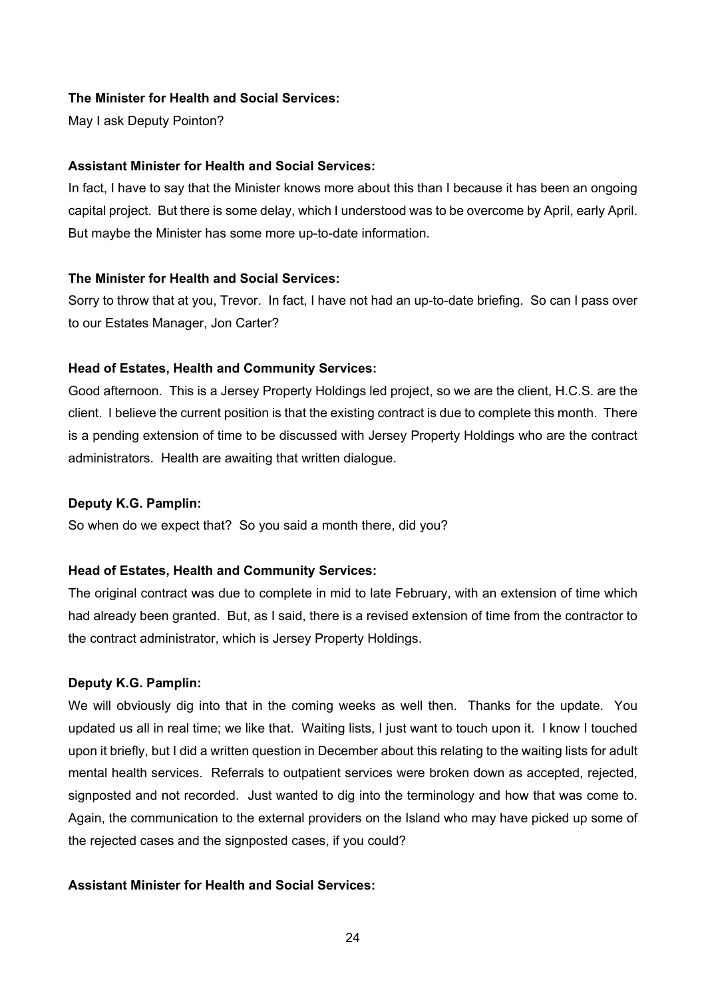## **The Minister for Health and Social Services:**

May I ask Deputy Pointon?

## **Assistant Minister for Health and Social Services:**

In fact, I have to say that the Minister knows more about this than I because it has been an ongoing capital project. But there is some delay, which I understood was to be overcome by April, early April. But maybe the Minister has some more up-to-date information.

## **The Minister for Health and Social Services:**

Sorry to throw that at you, Trevor. In fact, I have not had an up-to-date briefing. So can I pass over to our Estates Manager, Jon Carter?

## **Head of Estates, Health and Community Services:**

Good afternoon. This is a Jersey Property Holdings led project, so we are the client, H.C.S. are the client. I believe the current position is that the existing contract is due to complete this month. There is a pending extension of time to be discussed with Jersey Property Holdings who are the contract administrators. Health are awaiting that written dialogue.

## **Deputy K.G. Pamplin:**

So when do we expect that? So you said a month there, did you?

# **Head of Estates, Health and Community Services:**

The original contract was due to complete in mid to late February, with an extension of time which had already been granted. But, as I said, there is a revised extension of time from the contractor to the contract administrator, which is Jersey Property Holdings.

# **Deputy K.G. Pamplin:**

We will obviously dig into that in the coming weeks as well then. Thanks for the update. You updated us all in real time; we like that. Waiting lists, I just want to touch upon it. I know I touched upon it briefly, but I did a written question in December about this relating to the waiting lists for adult mental health services. Referrals to outpatient services were broken down as accepted, rejected, signposted and not recorded. Just wanted to dig into the terminology and how that was come to. Again, the communication to the external providers on the Island who may have picked up some of the rejected cases and the signposted cases, if you could?

# **Assistant Minister for Health and Social Services:**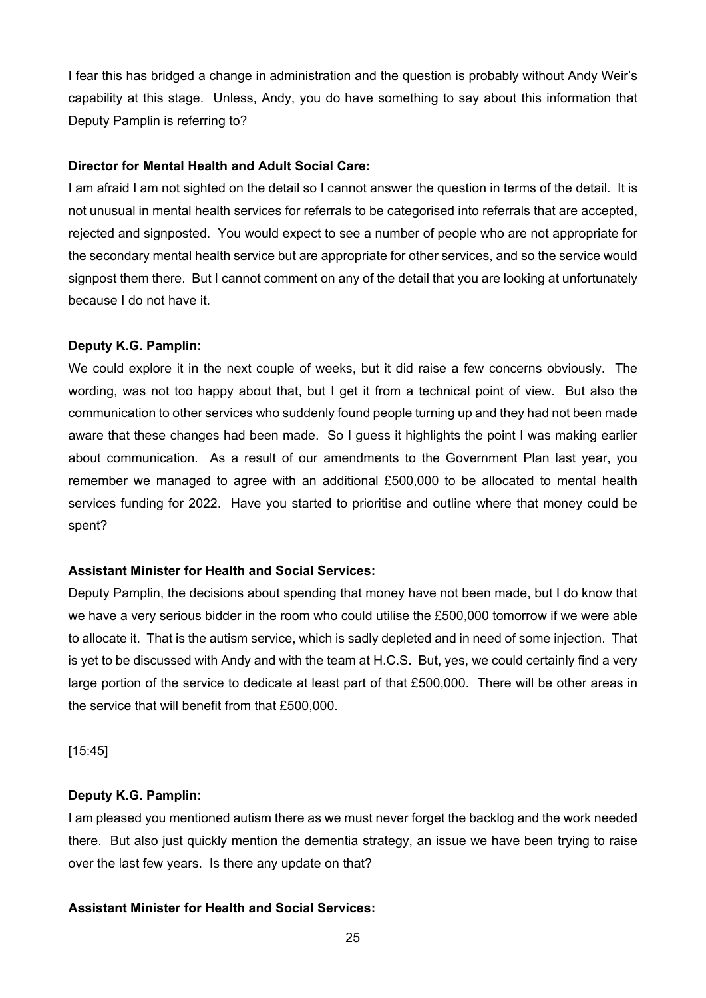I fear this has bridged a change in administration and the question is probably without Andy Weir's capability at this stage. Unless, Andy, you do have something to say about this information that Deputy Pamplin is referring to?

## **Director for Mental Health and Adult Social Care:**

I am afraid I am not sighted on the detail so I cannot answer the question in terms of the detail. It is not unusual in mental health services for referrals to be categorised into referrals that are accepted, rejected and signposted. You would expect to see a number of people who are not appropriate for the secondary mental health service but are appropriate for other services, and so the service would signpost them there. But I cannot comment on any of the detail that you are looking at unfortunately because I do not have it.

## **Deputy K.G. Pamplin:**

We could explore it in the next couple of weeks, but it did raise a few concerns obviously. The wording, was not too happy about that, but I get it from a technical point of view. But also the communication to other services who suddenly found people turning up and they had not been made aware that these changes had been made. So I guess it highlights the point I was making earlier about communication. As a result of our amendments to the Government Plan last year, you remember we managed to agree with an additional £500,000 to be allocated to mental health services funding for 2022. Have you started to prioritise and outline where that money could be spent?

## **Assistant Minister for Health and Social Services:**

Deputy Pamplin, the decisions about spending that money have not been made, but I do know that we have a very serious bidder in the room who could utilise the £500,000 tomorrow if we were able to allocate it. That is the autism service, which is sadly depleted and in need of some injection. That is yet to be discussed with Andy and with the team at H.C.S. But, yes, we could certainly find a very large portion of the service to dedicate at least part of that £500,000. There will be other areas in the service that will benefit from that £500,000.

[15:45]

#### **Deputy K.G. Pamplin:**

I am pleased you mentioned autism there as we must never forget the backlog and the work needed there. But also just quickly mention the dementia strategy, an issue we have been trying to raise over the last few years. Is there any update on that?

## **Assistant Minister for Health and Social Services:**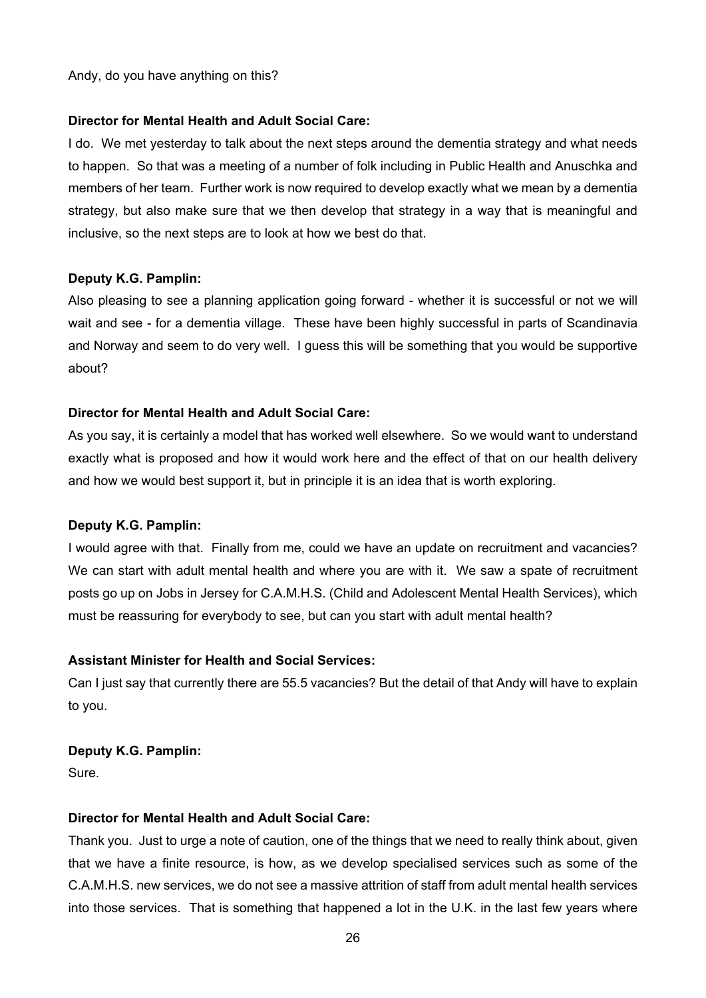Andy, do you have anything on this?

### **Director for Mental Health and Adult Social Care:**

I do. We met yesterday to talk about the next steps around the dementia strategy and what needs to happen. So that was a meeting of a number of folk including in Public Health and Anuschka and members of her team. Further work is now required to develop exactly what we mean by a dementia strategy, but also make sure that we then develop that strategy in a way that is meaningful and inclusive, so the next steps are to look at how we best do that.

## **Deputy K.G. Pamplin:**

Also pleasing to see a planning application going forward - whether it is successful or not we will wait and see - for a dementia village. These have been highly successful in parts of Scandinavia and Norway and seem to do very well. I guess this will be something that you would be supportive about?

## **Director for Mental Health and Adult Social Care:**

As you say, it is certainly a model that has worked well elsewhere. So we would want to understand exactly what is proposed and how it would work here and the effect of that on our health delivery and how we would best support it, but in principle it is an idea that is worth exploring.

## **Deputy K.G. Pamplin:**

I would agree with that. Finally from me, could we have an update on recruitment and vacancies? We can start with adult mental health and where you are with it. We saw a spate of recruitment posts go up on Jobs in Jersey for C.A.M.H.S. (Child and Adolescent Mental Health Services), which must be reassuring for everybody to see, but can you start with adult mental health?

## **Assistant Minister for Health and Social Services:**

Can I just say that currently there are 55.5 vacancies? But the detail of that Andy will have to explain to you.

## **Deputy K.G. Pamplin:**

**Sure**.

#### **Director for Mental Health and Adult Social Care:**

Thank you. Just to urge a note of caution, one of the things that we need to really think about, given that we have a finite resource, is how, as we develop specialised services such as some of the C.A.M.H.S. new services, we do not see a massive attrition of staff from adult mental health services into those services. That is something that happened a lot in the U.K. in the last few years where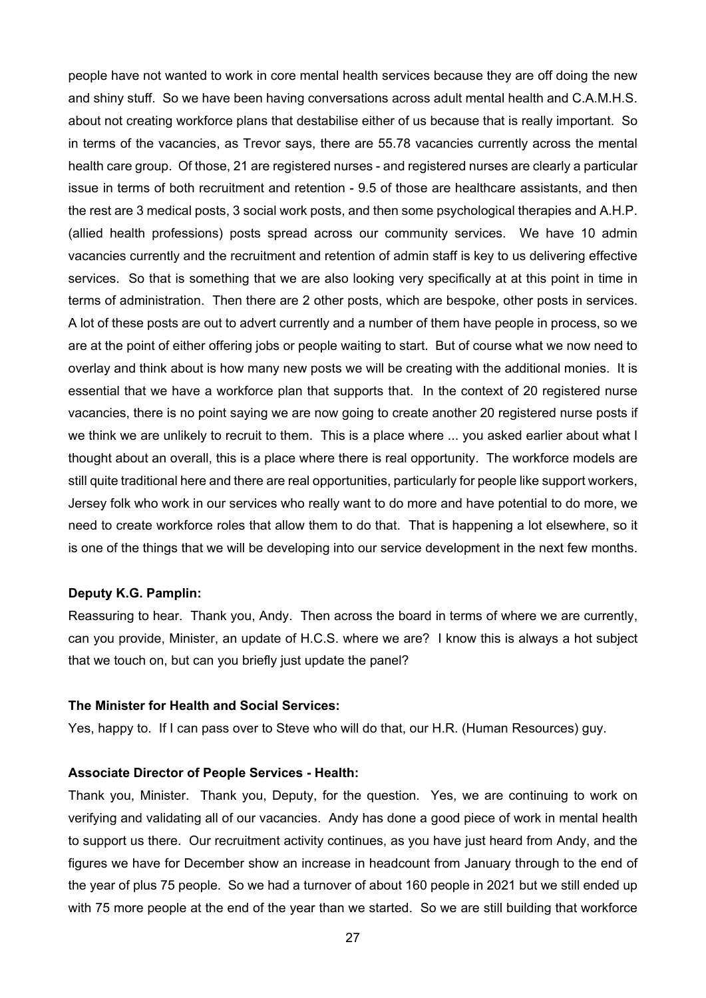people have not wanted to work in core mental health services because they are off doing the new and shiny stuff. So we have been having conversations across adult mental health and C.A.M.H.S. about not creating workforce plans that destabilise either of us because that is really important. So in terms of the vacancies, as Trevor says, there are 55.78 vacancies currently across the mental health care group. Of those, 21 are registered nurses - and registered nurses are clearly a particular issue in terms of both recruitment and retention - 9.5 of those are healthcare assistants, and then the rest are 3 medical posts, 3 social work posts, and then some psychological therapies and A.H.P. (allied health professions) posts spread across our community services. We have 10 admin vacancies currently and the recruitment and retention of admin staff is key to us delivering effective services. So that is something that we are also looking very specifically at at this point in time in terms of administration. Then there are 2 other posts, which are bespoke, other posts in services. A lot of these posts are out to advert currently and a number of them have people in process, so we are at the point of either offering jobs or people waiting to start. But of course what we now need to overlay and think about is how many new posts we will be creating with the additional monies. It is essential that we have a workforce plan that supports that. In the context of 20 registered nurse vacancies, there is no point saying we are now going to create another 20 registered nurse posts if we think we are unlikely to recruit to them. This is a place where ... you asked earlier about what I thought about an overall, this is a place where there is real opportunity. The workforce models are still quite traditional here and there are real opportunities, particularly for people like support workers, Jersey folk who work in our services who really want to do more and have potential to do more, we need to create workforce roles that allow them to do that. That is happening a lot elsewhere, so it is one of the things that we will be developing into our service development in the next few months.

#### **Deputy K.G. Pamplin:**

Reassuring to hear. Thank you, Andy. Then across the board in terms of where we are currently, can you provide, Minister, an update of H.C.S. where we are? I know this is always a hot subject that we touch on, but can you briefly just update the panel?

#### **The Minister for Health and Social Services:**

Yes, happy to. If I can pass over to Steve who will do that, our H.R. (Human Resources) guy.

#### **Associate Director of People Services - Health:**

Thank you, Minister. Thank you, Deputy, for the question. Yes, we are continuing to work on verifying and validating all of our vacancies. Andy has done a good piece of work in mental health to support us there. Our recruitment activity continues, as you have just heard from Andy, and the figures we have for December show an increase in headcount from January through to the end of the year of plus 75 people. So we had a turnover of about 160 people in 2021 but we still ended up with 75 more people at the end of the year than we started. So we are still building that workforce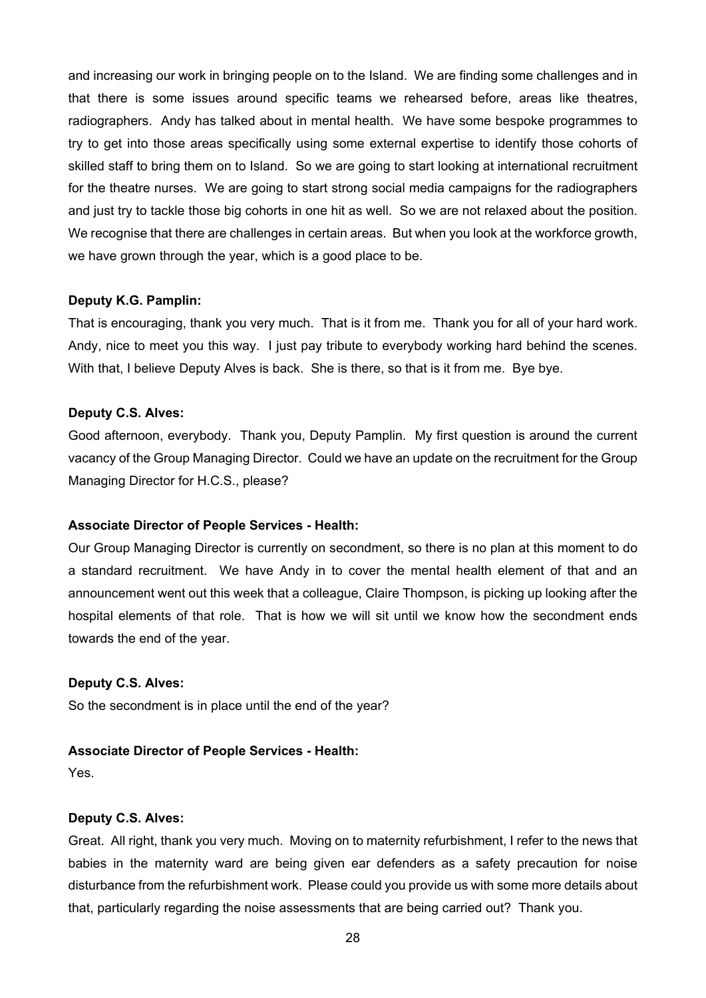and increasing our work in bringing people on to the Island. We are finding some challenges and in that there is some issues around specific teams we rehearsed before, areas like theatres, radiographers. Andy has talked about in mental health. We have some bespoke programmes to try to get into those areas specifically using some external expertise to identify those cohorts of skilled staff to bring them on to Island. So we are going to start looking at international recruitment for the theatre nurses. We are going to start strong social media campaigns for the radiographers and just try to tackle those big cohorts in one hit as well. So we are not relaxed about the position. We recognise that there are challenges in certain areas. But when you look at the workforce growth, we have grown through the year, which is a good place to be.

#### **Deputy K.G. Pamplin:**

That is encouraging, thank you very much. That is it from me. Thank you for all of your hard work. Andy, nice to meet you this way. I just pay tribute to everybody working hard behind the scenes. With that, I believe Deputy Alves is back. She is there, so that is it from me. Bye bye.

## **Deputy C.S. Alves:**

Good afternoon, everybody. Thank you, Deputy Pamplin. My first question is around the current vacancy of the Group Managing Director. Could we have an update on the recruitment for the Group Managing Director for H.C.S., please?

## **Associate Director of People Services - Health:**

Our Group Managing Director is currently on secondment, so there is no plan at this moment to do a standard recruitment. We have Andy in to cover the mental health element of that and an announcement went out this week that a colleague, Claire Thompson, is picking up looking after the hospital elements of that role. That is how we will sit until we know how the secondment ends towards the end of the year.

## **Deputy C.S. Alves:**

So the secondment is in place until the end of the year?

#### **Associate Director of People Services - Health:**

Yes.

#### **Deputy C.S. Alves:**

Great. All right, thank you very much. Moving on to maternity refurbishment, I refer to the news that babies in the maternity ward are being given ear defenders as a safety precaution for noise disturbance from the refurbishment work. Please could you provide us with some more details about that, particularly regarding the noise assessments that are being carried out? Thank you.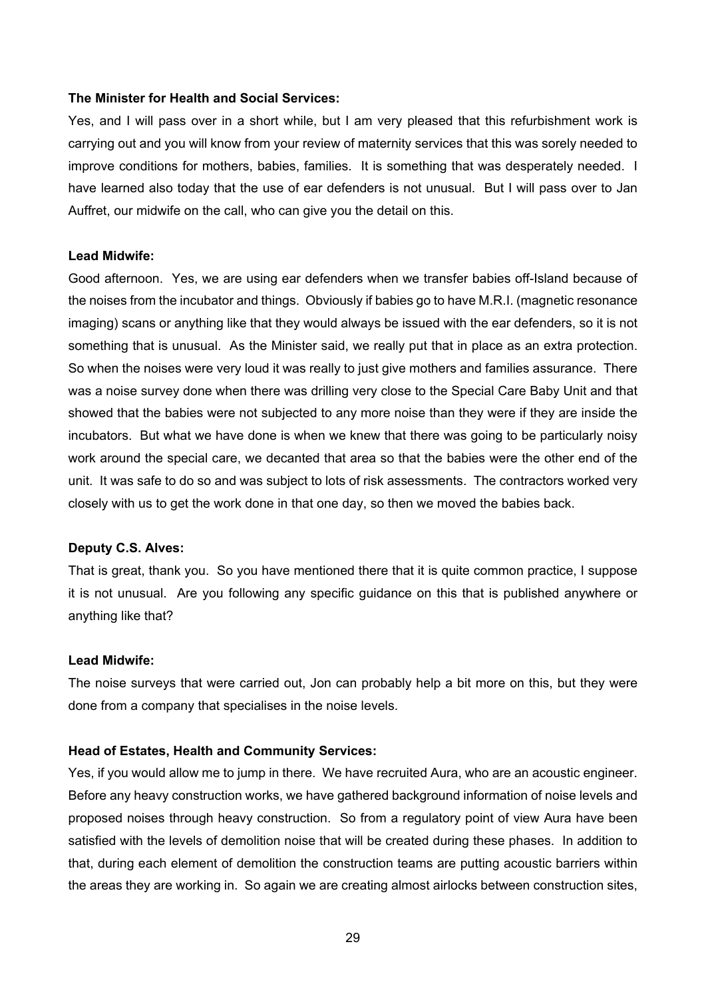## **The Minister for Health and Social Services:**

Yes, and I will pass over in a short while, but I am very pleased that this refurbishment work is carrying out and you will know from your review of maternity services that this was sorely needed to improve conditions for mothers, babies, families. It is something that was desperately needed. I have learned also today that the use of ear defenders is not unusual. But I will pass over to Jan Auffret, our midwife on the call, who can give you the detail on this.

#### **Lead Midwife:**

Good afternoon. Yes, we are using ear defenders when we transfer babies off-Island because of the noises from the incubator and things. Obviously if babies go to have M.R.I. (magnetic resonance imaging) scans or anything like that they would always be issued with the ear defenders, so it is not something that is unusual. As the Minister said, we really put that in place as an extra protection. So when the noises were very loud it was really to just give mothers and families assurance. There was a noise survey done when there was drilling very close to the Special Care Baby Unit and that showed that the babies were not subjected to any more noise than they were if they are inside the incubators. But what we have done is when we knew that there was going to be particularly noisy work around the special care, we decanted that area so that the babies were the other end of the unit. It was safe to do so and was subject to lots of risk assessments. The contractors worked very closely with us to get the work done in that one day, so then we moved the babies back.

#### **Deputy C.S. Alves:**

That is great, thank you. So you have mentioned there that it is quite common practice, I suppose it is not unusual. Are you following any specific guidance on this that is published anywhere or anything like that?

#### **Lead Midwife:**

The noise surveys that were carried out, Jon can probably help a bit more on this, but they were done from a company that specialises in the noise levels.

### **Head of Estates, Health and Community Services:**

Yes, if you would allow me to jump in there. We have recruited Aura, who are an acoustic engineer. Before any heavy construction works, we have gathered background information of noise levels and proposed noises through heavy construction. So from a regulatory point of view Aura have been satisfied with the levels of demolition noise that will be created during these phases. In addition to that, during each element of demolition the construction teams are putting acoustic barriers within the areas they are working in. So again we are creating almost airlocks between construction sites,

29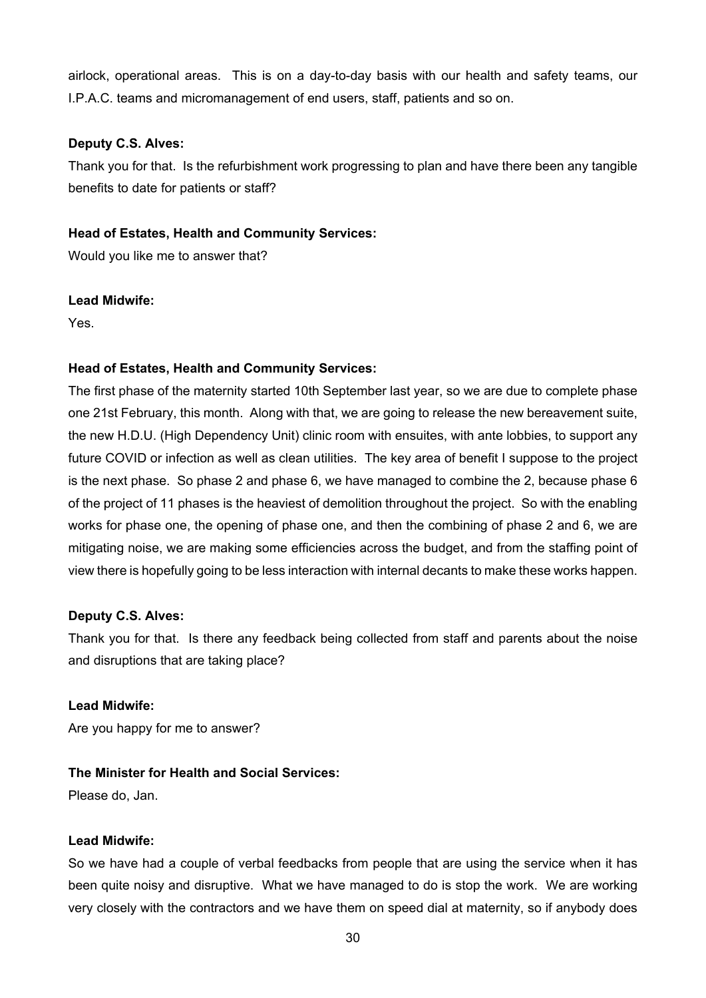airlock, operational areas. This is on a day-to-day basis with our health and safety teams, our I.P.A.C. teams and micromanagement of end users, staff, patients and so on.

## **Deputy C.S. Alves:**

Thank you for that. Is the refurbishment work progressing to plan and have there been any tangible benefits to date for patients or staff?

# **Head of Estates, Health and Community Services:**

Would you like me to answer that?

## **Lead Midwife:**

Yes.

## **Head of Estates, Health and Community Services:**

The first phase of the maternity started 10th September last year, so we are due to complete phase one 21st February, this month. Along with that, we are going to release the new bereavement suite, the new H.D.U. (High Dependency Unit) clinic room with ensuites, with ante lobbies, to support any future COVID or infection as well as clean utilities. The key area of benefit I suppose to the project is the next phase. So phase 2 and phase 6, we have managed to combine the 2, because phase 6 of the project of 11 phases is the heaviest of demolition throughout the project. So with the enabling works for phase one, the opening of phase one, and then the combining of phase 2 and 6, we are mitigating noise, we are making some efficiencies across the budget, and from the staffing point of view there is hopefully going to be less interaction with internal decants to make these works happen.

## **Deputy C.S. Alves:**

Thank you for that. Is there any feedback being collected from staff and parents about the noise and disruptions that are taking place?

## **Lead Midwife:**

Are you happy for me to answer?

## **The Minister for Health and Social Services:**

Please do, Jan.

## **Lead Midwife:**

So we have had a couple of verbal feedbacks from people that are using the service when it has been quite noisy and disruptive. What we have managed to do is stop the work. We are working very closely with the contractors and we have them on speed dial at maternity, so if anybody does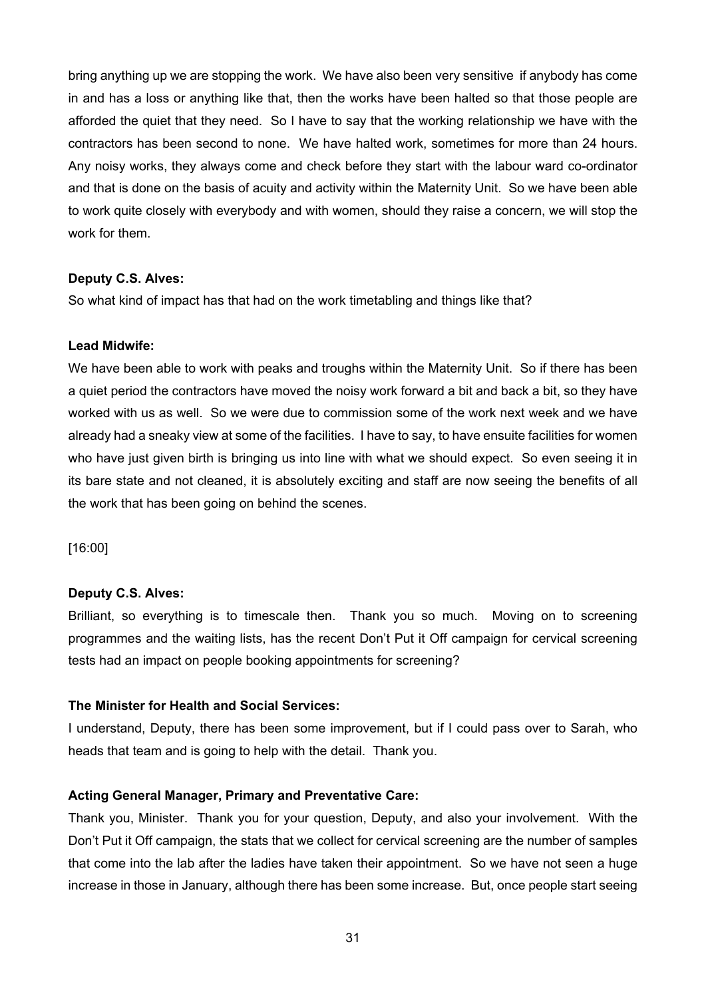bring anything up we are stopping the work. We have also been very sensitive if anybody has come in and has a loss or anything like that, then the works have been halted so that those people are afforded the quiet that they need. So I have to say that the working relationship we have with the contractors has been second to none. We have halted work, sometimes for more than 24 hours. Any noisy works, they always come and check before they start with the labour ward co-ordinator and that is done on the basis of acuity and activity within the Maternity Unit. So we have been able to work quite closely with everybody and with women, should they raise a concern, we will stop the work for them.

## **Deputy C.S. Alves:**

So what kind of impact has that had on the work timetabling and things like that?

#### **Lead Midwife:**

We have been able to work with peaks and troughs within the Maternity Unit. So if there has been a quiet period the contractors have moved the noisy work forward a bit and back a bit, so they have worked with us as well. So we were due to commission some of the work next week and we have already had a sneaky view at some of the facilities. I have to say, to have ensuite facilities for women who have just given birth is bringing us into line with what we should expect. So even seeing it in its bare state and not cleaned, it is absolutely exciting and staff are now seeing the benefits of all the work that has been going on behind the scenes.

[16:00]

#### **Deputy C.S. Alves:**

Brilliant, so everything is to timescale then. Thank you so much. Moving on to screening programmes and the waiting lists, has the recent Don't Put it Off campaign for cervical screening tests had an impact on people booking appointments for screening?

## **The Minister for Health and Social Services:**

I understand, Deputy, there has been some improvement, but if I could pass over to Sarah, who heads that team and is going to help with the detail. Thank you.

## **Acting General Manager, Primary and Preventative Care:**

Thank you, Minister. Thank you for your question, Deputy, and also your involvement. With the Don't Put it Off campaign, the stats that we collect for cervical screening are the number of samples that come into the lab after the ladies have taken their appointment. So we have not seen a huge increase in those in January, although there has been some increase. But, once people start seeing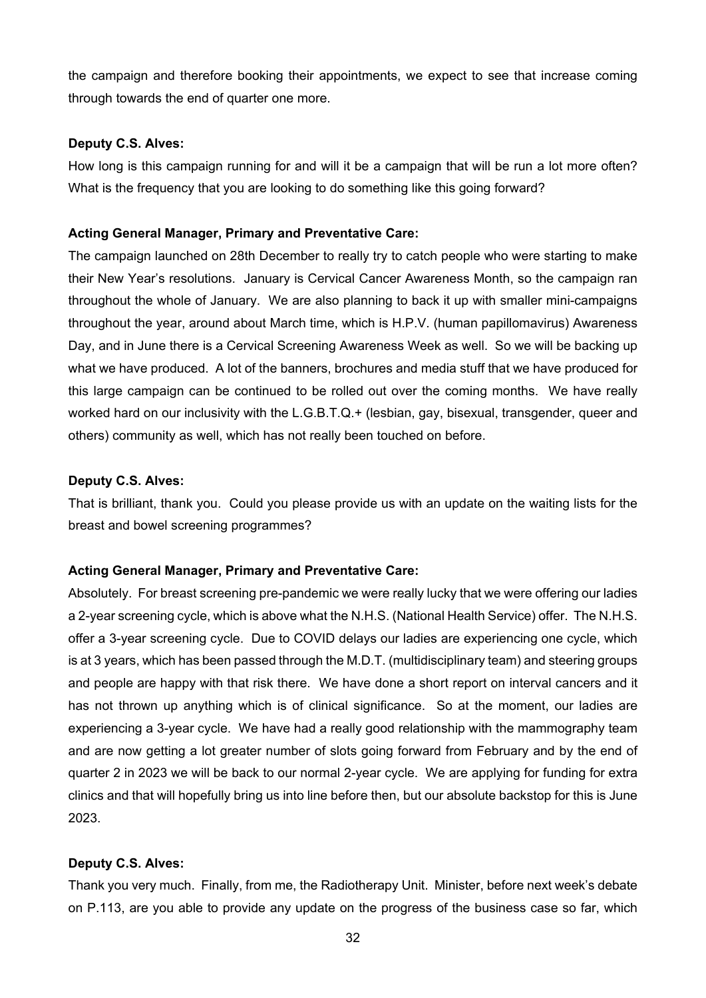the campaign and therefore booking their appointments, we expect to see that increase coming through towards the end of quarter one more.

## **Deputy C.S. Alves:**

How long is this campaign running for and will it be a campaign that will be run a lot more often? What is the frequency that you are looking to do something like this going forward?

## **Acting General Manager, Primary and Preventative Care:**

The campaign launched on 28th December to really try to catch people who were starting to make their New Year's resolutions. January is Cervical Cancer Awareness Month, so the campaign ran throughout the whole of January. We are also planning to back it up with smaller mini-campaigns throughout the year, around about March time, which is H.P.V. (human papillomavirus) Awareness Day, and in June there is a Cervical Screening Awareness Week as well. So we will be backing up what we have produced. A lot of the banners, brochures and media stuff that we have produced for this large campaign can be continued to be rolled out over the coming months. We have really worked hard on our inclusivity with the L.G.B.T.Q. + (lesbian, gay, bisexual, transgender, queer and others) community as well, which has not really been touched on before.

## **Deputy C.S. Alves:**

That is brilliant, thank you. Could you please provide us with an update on the waiting lists for the breast and bowel screening programmes?

# **Acting General Manager, Primary and Preventative Care:**

Absolutely. For breast screening pre-pandemic we were really lucky that we were offering our ladies a 2-year screening cycle, which is above what the N.H.S. (National Health Service) offer. The N.H.S. offer a 3-year screening cycle. Due to COVID delays our ladies are experiencing one cycle, which is at 3 years, which has been passed through the M.D.T. (multidisciplinary team) and steering groups and people are happy with that risk there. We have done a short report on interval cancers and it has not thrown up anything which is of clinical significance. So at the moment, our ladies are experiencing a 3-year cycle. We have had a really good relationship with the mammography team and are now getting a lot greater number of slots going forward from February and by the end of quarter 2 in 2023 we will be back to our normal 2-year cycle. We are applying for funding for extra clinics and that will hopefully bring us into line before then, but our absolute backstop for this is June 2023.

## **Deputy C.S. Alves:**

Thank you very much. Finally, from me, the Radiotherapy Unit. Minister, before next week's debate on P.113, are you able to provide any update on the progress of the business case so far, which